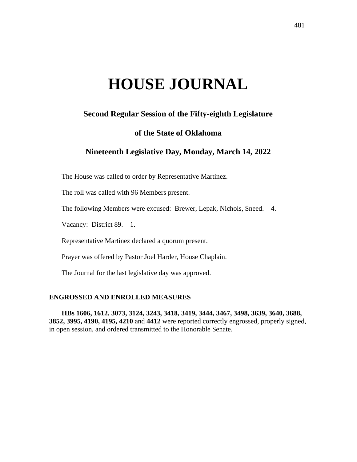# **HOUSE JOURNAL**

# **Second Regular Session of the Fifty-eighth Legislature**

## **of the State of Oklahoma**

# **Nineteenth Legislative Day, Monday, March 14, 2022**

The House was called to order by Representative Martinez.

The roll was called with 96 Members present.

The following Members were excused: Brewer, Lepak, Nichols, Sneed.—4.

Vacancy: District 89.—1.

Representative Martinez declared a quorum present.

Prayer was offered by Pastor Joel Harder, House Chaplain.

The Journal for the last legislative day was approved.

## **ENGROSSED AND ENROLLED MEASURES**

**HBs 1606, 1612, 3073, 3124, 3243, 3418, 3419, 3444, 3467, 3498, 3639, 3640, 3688, 3852, 3995, 4190, 4195, 4210** and **4412** were reported correctly engrossed, properly signed, in open session, and ordered transmitted to the Honorable Senate.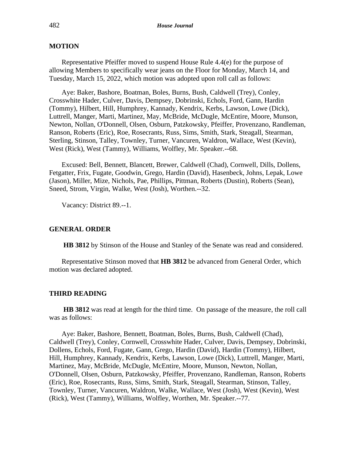## **MOTION**

Representative Pfeiffer moved to suspend House Rule 4.4(e) for the purpose of allowing Members to specifically wear jeans on the Floor for Monday, March 14, and Tuesday, March 15, 2022, which motion was adopted upon roll call as follows:

Aye: Baker, Bashore, Boatman, Boles, Burns, Bush, Caldwell (Trey), Conley, Crosswhite Hader, Culver, Davis, Dempsey, Dobrinski, Echols, Ford, Gann, Hardin (Tommy), Hilbert, Hill, Humphrey, Kannady, Kendrix, Kerbs, Lawson, Lowe (Dick), Luttrell, Manger, Marti, Martinez, May, McBride, McDugle, McEntire, Moore, Munson, Newton, Nollan, O'Donnell, Olsen, Osburn, Patzkowsky, Pfeiffer, Provenzano, Randleman, Ranson, Roberts (Eric), Roe, Rosecrants, Russ, Sims, Smith, Stark, Steagall, Stearman, Sterling, Stinson, Talley, Townley, Turner, Vancuren, Waldron, Wallace, West (Kevin), West (Rick), West (Tammy), Williams, Wolfley, Mr. Speaker.--68.

Excused: Bell, Bennett, Blancett, Brewer, Caldwell (Chad), Cornwell, Dills, Dollens, Fetgatter, Frix, Fugate, Goodwin, Grego, Hardin (David), Hasenbeck, Johns, Lepak, Lowe (Jason), Miller, Mize, Nichols, Pae, Phillips, Pittman, Roberts (Dustin), Roberts (Sean), Sneed, Strom, Virgin, Walke, West (Josh), Worthen.--32.

Vacancy: District 89.--1.

#### **GENERAL ORDER**

**HB 3812** by Stinson of the House and Stanley of the Senate was read and considered.

Representative Stinson moved that **HB 3812** be advanced from General Order, which motion was declared adopted.

#### **THIRD READING**

**HB 3812** was read at length for the third time. On passage of the measure, the roll call was as follows:

Aye: Baker, Bashore, Bennett, Boatman, Boles, Burns, Bush, Caldwell (Chad), Caldwell (Trey), Conley, Cornwell, Crosswhite Hader, Culver, Davis, Dempsey, Dobrinski, Dollens, Echols, Ford, Fugate, Gann, Grego, Hardin (David), Hardin (Tommy), Hilbert, Hill, Humphrey, Kannady, Kendrix, Kerbs, Lawson, Lowe (Dick), Luttrell, Manger, Marti, Martinez, May, McBride, McDugle, McEntire, Moore, Munson, Newton, Nollan, O'Donnell, Olsen, Osburn, Patzkowsky, Pfeiffer, Provenzano, Randleman, Ranson, Roberts (Eric), Roe, Rosecrants, Russ, Sims, Smith, Stark, Steagall, Stearman, Stinson, Talley, Townley, Turner, Vancuren, Waldron, Walke, Wallace, West (Josh), West (Kevin), West (Rick), West (Tammy), Williams, Wolfley, Worthen, Mr. Speaker.--77.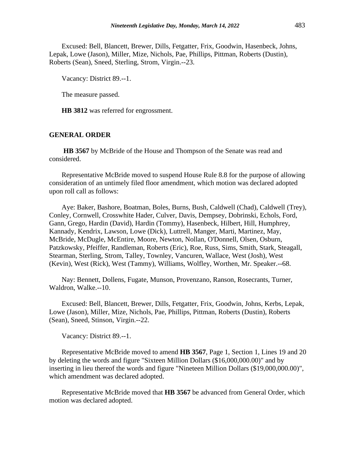Excused: Bell, Blancett, Brewer, Dills, Fetgatter, Frix, Goodwin, Hasenbeck, Johns, Lepak, Lowe (Jason), Miller, Mize, Nichols, Pae, Phillips, Pittman, Roberts (Dustin), Roberts (Sean), Sneed, Sterling, Strom, Virgin.--23.

Vacancy: District 89.--1.

The measure passed.

**HB 3812** was referred for engrossment.

## **GENERAL ORDER**

**HB 3567** by McBride of the House and Thompson of the Senate was read and considered.

Representative McBride moved to suspend House Rule 8.8 for the purpose of allowing consideration of an untimely filed floor amendment, which motion was declared adopted upon roll call as follows:

Aye: Baker, Bashore, Boatman, Boles, Burns, Bush, Caldwell (Chad), Caldwell (Trey), Conley, Cornwell, Crosswhite Hader, Culver, Davis, Dempsey, Dobrinski, Echols, Ford, Gann, Grego, Hardin (David), Hardin (Tommy), Hasenbeck, Hilbert, Hill, Humphrey, Kannady, Kendrix, Lawson, Lowe (Dick), Luttrell, Manger, Marti, Martinez, May, McBride, McDugle, McEntire, Moore, Newton, Nollan, O'Donnell, Olsen, Osburn, Patzkowsky, Pfeiffer, Randleman, Roberts (Eric), Roe, Russ, Sims, Smith, Stark, Steagall, Stearman, Sterling, Strom, Talley, Townley, Vancuren, Wallace, West (Josh), West (Kevin), West (Rick), West (Tammy), Williams, Wolfley, Worthen, Mr. Speaker.--68.

Nay: Bennett, Dollens, Fugate, Munson, Provenzano, Ranson, Rosecrants, Turner, Waldron, Walke.--10.

Excused: Bell, Blancett, Brewer, Dills, Fetgatter, Frix, Goodwin, Johns, Kerbs, Lepak, Lowe (Jason), Miller, Mize, Nichols, Pae, Phillips, Pittman, Roberts (Dustin), Roberts (Sean), Sneed, Stinson, Virgin.--22.

Vacancy: District 89.--1.

Representative McBride moved to amend **HB 3567**, Page 1, Section 1, Lines 19 and 20 by deleting the words and figure "Sixteen Million Dollars (\$16,000,000.00)" and by inserting in lieu thereof the words and figure "Nineteen Million Dollars (\$19,000,000.00)", which amendment was declared adopted.

Representative McBride moved that **HB 3567** be advanced from General Order, which motion was declared adopted.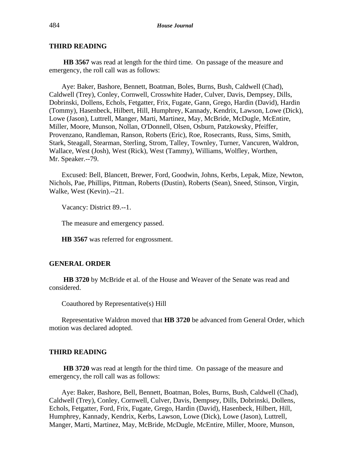## **THIRD READING**

**HB 3567** was read at length for the third time. On passage of the measure and emergency, the roll call was as follows:

Aye: Baker, Bashore, Bennett, Boatman, Boles, Burns, Bush, Caldwell (Chad), Caldwell (Trey), Conley, Cornwell, Crosswhite Hader, Culver, Davis, Dempsey, Dills, Dobrinski, Dollens, Echols, Fetgatter, Frix, Fugate, Gann, Grego, Hardin (David), Hardin (Tommy), Hasenbeck, Hilbert, Hill, Humphrey, Kannady, Kendrix, Lawson, Lowe (Dick), Lowe (Jason), Luttrell, Manger, Marti, Martinez, May, McBride, McDugle, McEntire, Miller, Moore, Munson, Nollan, O'Donnell, Olsen, Osburn, Patzkowsky, Pfeiffer, Provenzano, Randleman, Ranson, Roberts (Eric), Roe, Rosecrants, Russ, Sims, Smith, Stark, Steagall, Stearman, Sterling, Strom, Talley, Townley, Turner, Vancuren, Waldron, Wallace, West (Josh), West (Rick), West (Tammy), Williams, Wolfley, Worthen, Mr. Speaker.--79.

Excused: Bell, Blancett, Brewer, Ford, Goodwin, Johns, Kerbs, Lepak, Mize, Newton, Nichols, Pae, Phillips, Pittman, Roberts (Dustin), Roberts (Sean), Sneed, Stinson, Virgin, Walke, West (Kevin).--21.

Vacancy: District 89.--1.

The measure and emergency passed.

**HB 3567** was referred for engrossment.

## **GENERAL ORDER**

**HB 3720** by McBride et al. of the House and Weaver of the Senate was read and considered.

Coauthored by Representative(s) Hill

Representative Waldron moved that **HB 3720** be advanced from General Order, which motion was declared adopted.

#### **THIRD READING**

**HB 3720** was read at length for the third time. On passage of the measure and emergency, the roll call was as follows:

Aye: Baker, Bashore, Bell, Bennett, Boatman, Boles, Burns, Bush, Caldwell (Chad), Caldwell (Trey), Conley, Cornwell, Culver, Davis, Dempsey, Dills, Dobrinski, Dollens, Echols, Fetgatter, Ford, Frix, Fugate, Grego, Hardin (David), Hasenbeck, Hilbert, Hill, Humphrey, Kannady, Kendrix, Kerbs, Lawson, Lowe (Dick), Lowe (Jason), Luttrell, Manger, Marti, Martinez, May, McBride, McDugle, McEntire, Miller, Moore, Munson,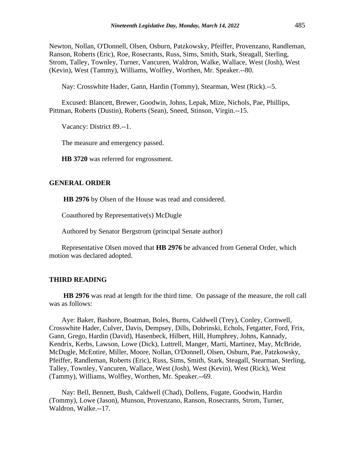Newton, Nollan, O'Donnell, Olsen, Osburn, Patzkowsky, Pfeiffer, Provenzano, Randleman, Ranson, Roberts (Eric), Roe, Rosecrants, Russ, Sims, Smith, Stark, Steagall, Sterling, Strom, Talley, Townley, Turner, Vancuren, Waldron, Walke, Wallace, West (Josh), West (Kevin), West (Tammy), Williams, Wolfley, Worthen, Mr. Speaker.--80.

Nay: Crosswhite Hader, Gann, Hardin (Tommy), Stearman, West (Rick).--5.

Excused: Blancett, Brewer, Goodwin, Johns, Lepak, Mize, Nichols, Pae, Phillips, Pittman, Roberts (Dustin), Roberts (Sean), Sneed, Stinson, Virgin.--15.

Vacancy: District 89.--1.

The measure and emergency passed.

**HB 3720** was referred for engrossment.

#### **GENERAL ORDER**

**HB 2976** by Olsen of the House was read and considered.

Coauthored by Representative(s) McDugle

Authored by Senator Bergstrom (principal Senate author)

Representative Olsen moved that **HB 2976** be advanced from General Order, which motion was declared adopted.

#### **THIRD READING**

**HB 2976** was read at length for the third time. On passage of the measure, the roll call was as follows:

Aye: Baker, Bashore, Boatman, Boles, Burns, Caldwell (Trey), Conley, Cornwell, Crosswhite Hader, Culver, Davis, Dempsey, Dills, Dobrinski, Echols, Fetgatter, Ford, Frix, Gann, Grego, Hardin (David), Hasenbeck, Hilbert, Hill, Humphrey, Johns, Kannady, Kendrix, Kerbs, Lawson, Lowe (Dick), Luttrell, Manger, Marti, Martinez, May, McBride, McDugle, McEntire, Miller, Moore, Nollan, O'Donnell, Olsen, Osburn, Pae, Patzkowsky, Pfeiffer, Randleman, Roberts (Eric), Russ, Sims, Smith, Stark, Steagall, Stearman, Sterling, Talley, Townley, Vancuren, Wallace, West (Josh), West (Kevin), West (Rick), West (Tammy), Williams, Wolfley, Worthen, Mr. Speaker.--69.

Nay: Bell, Bennett, Bush, Caldwell (Chad), Dollens, Fugate, Goodwin, Hardin (Tommy), Lowe (Jason), Munson, Provenzano, Ranson, Rosecrants, Strom, Turner, Waldron, Walke.--17.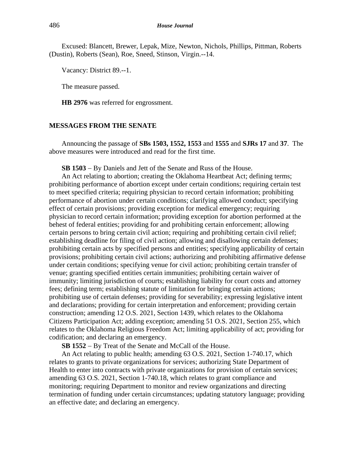Excused: Blancett, Brewer, Lepak, Mize, Newton, Nichols, Phillips, Pittman, Roberts (Dustin), Roberts (Sean), Roe, Sneed, Stinson, Virgin.--14.

Vacancy: District 89.--1.

The measure passed.

**HB 2976** was referred for engrossment.

#### **MESSAGES FROM THE SENATE**

Announcing the passage of **SBs 1503, 1552, 1553** and **1555** and **SJRs 17** and **37**. The above measures were introduced and read for the first time.

**SB 1503** − By Daniels and Jett of the Senate and Russ of the House.

An Act relating to abortion; creating the Oklahoma Heartbeat Act; defining terms; prohibiting performance of abortion except under certain conditions; requiring certain test to meet specified criteria; requiring physician to record certain information; prohibiting performance of abortion under certain conditions; clarifying allowed conduct; specifying effect of certain provisions; providing exception for medical emergency; requiring physician to record certain information; providing exception for abortion performed at the behest of federal entities; providing for and prohibiting certain enforcement; allowing certain persons to bring certain civil action; requiring and prohibiting certain civil relief; establishing deadline for filing of civil action; allowing and disallowing certain defenses; prohibiting certain acts by specified persons and entities; specifying applicability of certain provisions; prohibiting certain civil actions; authorizing and prohibiting affirmative defense under certain conditions; specifying venue for civil action; prohibiting certain transfer of venue; granting specified entities certain immunities; prohibiting certain waiver of immunity; limiting jurisdiction of courts; establishing liability for court costs and attorney fees; defining term; establishing statute of limitation for bringing certain actions; prohibiting use of certain defenses; providing for severability; expressing legislative intent and declarations; providing for certain interpretation and enforcement; providing certain construction; amending 12 O.S. 2021, Section 1439, which relates to the Oklahoma Citizens Participation Act; adding exception; amending 51 O.S. 2021, Section 255, which relates to the Oklahoma Religious Freedom Act; limiting applicability of act; providing for codification; and declaring an emergency.

**SB 1552** − By Treat of the Senate and McCall of the House.

An Act relating to public health; amending 63 O.S. 2021, Section 1-740.17, which relates to grants to private organizations for services; authorizing State Department of Health to enter into contracts with private organizations for provision of certain services; amending 63 O.S. 2021, Section 1-740.18, which relates to grant compliance and monitoring; requiring Department to monitor and review organizations and directing termination of funding under certain circumstances; updating statutory language; providing an effective date; and declaring an emergency.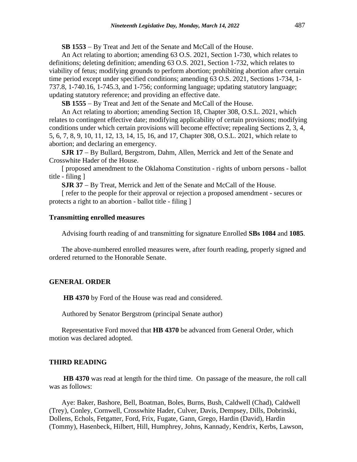**SB 1553** − By Treat and Jett of the Senate and McCall of the House.

An Act relating to abortion; amending 63 O.S. 2021, Section 1-730, which relates to definitions; deleting definition; amending 63 O.S. 2021, Section 1-732, which relates to viability of fetus; modifying grounds to perform abortion; prohibiting abortion after certain time period except under specified conditions; amending 63 O.S. 2021, Sections 1-734, 1- 737.8, 1-740.16, 1-745.3, and 1-756; conforming language; updating statutory language; updating statutory reference; and providing an effective date.

**SB 1555** − By Treat and Jett of the Senate and McCall of the House.

An Act relating to abortion; amending Section 18, Chapter 308, O.S.L. 2021, which relates to contingent effective date; modifying applicability of certain provisions; modifying conditions under which certain provisions will become effective; repealing Sections 2, 3, 4, 5, 6, 7, 8, 9, 10, 11, 12, 13, 14, 15, 16, and 17, Chapter 308, O.S.L. 2021, which relate to abortion; and declaring an emergency.

**SJR 17** − By Bullard, Bergstrom, Dahm, Allen, Merrick and Jett of the Senate and Crosswhite Hader of the House.

[ proposed amendment to the Oklahoma Constitution - rights of unborn persons - ballot title - filing ]

**SJR 37** − By Treat, Merrick and Jett of the Senate and McCall of the House.

[ refer to the people for their approval or rejection a proposed amendment - secures or protects a right to an abortion - ballot title - filing ]

#### **Transmitting enrolled measures**

Advising fourth reading of and transmitting for signature Enrolled **SBs 1084** and **1085**.

The above-numbered enrolled measures were, after fourth reading, properly signed and ordered returned to the Honorable Senate.

#### **GENERAL ORDER**

**HB 4370** by Ford of the House was read and considered.

Authored by Senator Bergstrom (principal Senate author)

Representative Ford moved that **HB 4370** be advanced from General Order, which motion was declared adopted.

## **THIRD READING**

**HB 4370** was read at length for the third time. On passage of the measure, the roll call was as follows:

Aye: Baker, Bashore, Bell, Boatman, Boles, Burns, Bush, Caldwell (Chad), Caldwell (Trey), Conley, Cornwell, Crosswhite Hader, Culver, Davis, Dempsey, Dills, Dobrinski, Dollens, Echols, Fetgatter, Ford, Frix, Fugate, Gann, Grego, Hardin (David), Hardin (Tommy), Hasenbeck, Hilbert, Hill, Humphrey, Johns, Kannady, Kendrix, Kerbs, Lawson,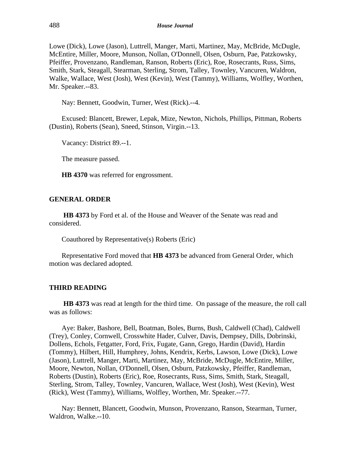Lowe (Dick), Lowe (Jason), Luttrell, Manger, Marti, Martinez, May, McBride, McDugle, McEntire, Miller, Moore, Munson, Nollan, O'Donnell, Olsen, Osburn, Pae, Patzkowsky, Pfeiffer, Provenzano, Randleman, Ranson, Roberts (Eric), Roe, Rosecrants, Russ, Sims, Smith, Stark, Steagall, Stearman, Sterling, Strom, Talley, Townley, Vancuren, Waldron, Walke, Wallace, West (Josh), West (Kevin), West (Tammy), Williams, Wolfley, Worthen, Mr. Speaker.--83.

Nay: Bennett, Goodwin, Turner, West (Rick).--4.

Excused: Blancett, Brewer, Lepak, Mize, Newton, Nichols, Phillips, Pittman, Roberts (Dustin), Roberts (Sean), Sneed, Stinson, Virgin.--13.

Vacancy: District 89.--1.

The measure passed.

**HB 4370** was referred for engrossment.

## **GENERAL ORDER**

**HB 4373** by Ford et al. of the House and Weaver of the Senate was read and considered.

Coauthored by Representative(s) Roberts (Eric)

Representative Ford moved that **HB 4373** be advanced from General Order, which motion was declared adopted.

#### **THIRD READING**

**HB 4373** was read at length for the third time. On passage of the measure, the roll call was as follows:

Aye: Baker, Bashore, Bell, Boatman, Boles, Burns, Bush, Caldwell (Chad), Caldwell (Trey), Conley, Cornwell, Crosswhite Hader, Culver, Davis, Dempsey, Dills, Dobrinski, Dollens, Echols, Fetgatter, Ford, Frix, Fugate, Gann, Grego, Hardin (David), Hardin (Tommy), Hilbert, Hill, Humphrey, Johns, Kendrix, Kerbs, Lawson, Lowe (Dick), Lowe (Jason), Luttrell, Manger, Marti, Martinez, May, McBride, McDugle, McEntire, Miller, Moore, Newton, Nollan, O'Donnell, Olsen, Osburn, Patzkowsky, Pfeiffer, Randleman, Roberts (Dustin), Roberts (Eric), Roe, Rosecrants, Russ, Sims, Smith, Stark, Steagall, Sterling, Strom, Talley, Townley, Vancuren, Wallace, West (Josh), West (Kevin), West (Rick), West (Tammy), Williams, Wolfley, Worthen, Mr. Speaker.--77.

Nay: Bennett, Blancett, Goodwin, Munson, Provenzano, Ranson, Stearman, Turner, Waldron, Walke.--10.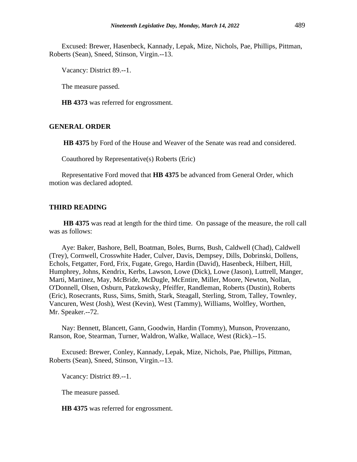Excused: Brewer, Hasenbeck, Kannady, Lepak, Mize, Nichols, Pae, Phillips, Pittman, Roberts (Sean), Sneed, Stinson, Virgin.--13.

Vacancy: District 89.--1.

The measure passed.

**HB 4373** was referred for engrossment.

#### **GENERAL ORDER**

**HB 4375** by Ford of the House and Weaver of the Senate was read and considered.

Coauthored by Representative(s) Roberts (Eric)

Representative Ford moved that **HB 4375** be advanced from General Order, which motion was declared adopted.

#### **THIRD READING**

**HB 4375** was read at length for the third time. On passage of the measure, the roll call was as follows:

Aye: Baker, Bashore, Bell, Boatman, Boles, Burns, Bush, Caldwell (Chad), Caldwell (Trey), Cornwell, Crosswhite Hader, Culver, Davis, Dempsey, Dills, Dobrinski, Dollens, Echols, Fetgatter, Ford, Frix, Fugate, Grego, Hardin (David), Hasenbeck, Hilbert, Hill, Humphrey, Johns, Kendrix, Kerbs, Lawson, Lowe (Dick), Lowe (Jason), Luttrell, Manger, Marti, Martinez, May, McBride, McDugle, McEntire, Miller, Moore, Newton, Nollan, O'Donnell, Olsen, Osburn, Patzkowsky, Pfeiffer, Randleman, Roberts (Dustin), Roberts (Eric), Rosecrants, Russ, Sims, Smith, Stark, Steagall, Sterling, Strom, Talley, Townley, Vancuren, West (Josh), West (Kevin), West (Tammy), Williams, Wolfley, Worthen, Mr. Speaker.--72.

Nay: Bennett, Blancett, Gann, Goodwin, Hardin (Tommy), Munson, Provenzano, Ranson, Roe, Stearman, Turner, Waldron, Walke, Wallace, West (Rick).--15.

Excused: Brewer, Conley, Kannady, Lepak, Mize, Nichols, Pae, Phillips, Pittman, Roberts (Sean), Sneed, Stinson, Virgin.--13.

Vacancy: District 89.--1.

The measure passed.

**HB 4375** was referred for engrossment.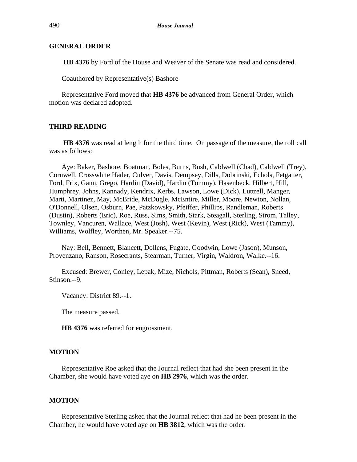## **GENERAL ORDER**

**HB 4376** by Ford of the House and Weaver of the Senate was read and considered.

Coauthored by Representative(s) Bashore

Representative Ford moved that **HB 4376** be advanced from General Order, which motion was declared adopted.

## **THIRD READING**

**HB 4376** was read at length for the third time. On passage of the measure, the roll call was as follows:

Aye: Baker, Bashore, Boatman, Boles, Burns, Bush, Caldwell (Chad), Caldwell (Trey), Cornwell, Crosswhite Hader, Culver, Davis, Dempsey, Dills, Dobrinski, Echols, Fetgatter, Ford, Frix, Gann, Grego, Hardin (David), Hardin (Tommy), Hasenbeck, Hilbert, Hill, Humphrey, Johns, Kannady, Kendrix, Kerbs, Lawson, Lowe (Dick), Luttrell, Manger, Marti, Martinez, May, McBride, McDugle, McEntire, Miller, Moore, Newton, Nollan, O'Donnell, Olsen, Osburn, Pae, Patzkowsky, Pfeiffer, Phillips, Randleman, Roberts (Dustin), Roberts (Eric), Roe, Russ, Sims, Smith, Stark, Steagall, Sterling, Strom, Talley, Townley, Vancuren, Wallace, West (Josh), West (Kevin), West (Rick), West (Tammy), Williams, Wolfley, Worthen, Mr. Speaker.--75.

Nay: Bell, Bennett, Blancett, Dollens, Fugate, Goodwin, Lowe (Jason), Munson, Provenzano, Ranson, Rosecrants, Stearman, Turner, Virgin, Waldron, Walke.--16.

Excused: Brewer, Conley, Lepak, Mize, Nichols, Pittman, Roberts (Sean), Sneed, Stinson.--9.

Vacancy: District 89.--1.

The measure passed.

**HB 4376** was referred for engrossment.

#### **MOTION**

Representative Roe asked that the Journal reflect that had she been present in the Chamber, she would have voted aye on **HB 2976**, which was the order.

## **MOTION**

Representative Sterling asked that the Journal reflect that had he been present in the Chamber, he would have voted aye on **HB 3812**, which was the order.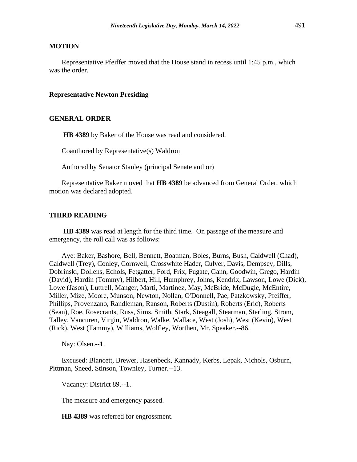## **MOTION**

Representative Pfeiffer moved that the House stand in recess until 1:45 p.m., which was the order.

#### **Representative Newton Presiding**

## **GENERAL ORDER**

**HB 4389** by Baker of the House was read and considered.

Coauthored by Representative(s) Waldron

Authored by Senator Stanley (principal Senate author)

Representative Baker moved that **HB 4389** be advanced from General Order, which motion was declared adopted.

#### **THIRD READING**

**HB 4389** was read at length for the third time. On passage of the measure and emergency, the roll call was as follows:

Aye: Baker, Bashore, Bell, Bennett, Boatman, Boles, Burns, Bush, Caldwell (Chad), Caldwell (Trey), Conley, Cornwell, Crosswhite Hader, Culver, Davis, Dempsey, Dills, Dobrinski, Dollens, Echols, Fetgatter, Ford, Frix, Fugate, Gann, Goodwin, Grego, Hardin (David), Hardin (Tommy), Hilbert, Hill, Humphrey, Johns, Kendrix, Lawson, Lowe (Dick), Lowe (Jason), Luttrell, Manger, Marti, Martinez, May, McBride, McDugle, McEntire, Miller, Mize, Moore, Munson, Newton, Nollan, O'Donnell, Pae, Patzkowsky, Pfeiffer, Phillips, Provenzano, Randleman, Ranson, Roberts (Dustin), Roberts (Eric), Roberts (Sean), Roe, Rosecrants, Russ, Sims, Smith, Stark, Steagall, Stearman, Sterling, Strom, Talley, Vancuren, Virgin, Waldron, Walke, Wallace, West (Josh), West (Kevin), West (Rick), West (Tammy), Williams, Wolfley, Worthen, Mr. Speaker.--86.

Nay: Olsen.--1.

Excused: Blancett, Brewer, Hasenbeck, Kannady, Kerbs, Lepak, Nichols, Osburn, Pittman, Sneed, Stinson, Townley, Turner.--13.

Vacancy: District 89.--1.

The measure and emergency passed.

**HB 4389** was referred for engrossment.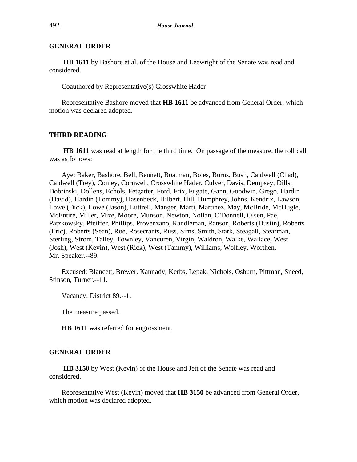## **GENERAL ORDER**

**HB 1611** by Bashore et al. of the House and Leewright of the Senate was read and considered.

Coauthored by Representative(s) Crosswhite Hader

Representative Bashore moved that **HB 1611** be advanced from General Order, which motion was declared adopted.

## **THIRD READING**

**HB 1611** was read at length for the third time. On passage of the measure, the roll call was as follows:

Aye: Baker, Bashore, Bell, Bennett, Boatman, Boles, Burns, Bush, Caldwell (Chad), Caldwell (Trey), Conley, Cornwell, Crosswhite Hader, Culver, Davis, Dempsey, Dills, Dobrinski, Dollens, Echols, Fetgatter, Ford, Frix, Fugate, Gann, Goodwin, Grego, Hardin (David), Hardin (Tommy), Hasenbeck, Hilbert, Hill, Humphrey, Johns, Kendrix, Lawson, Lowe (Dick), Lowe (Jason), Luttrell, Manger, Marti, Martinez, May, McBride, McDugle, McEntire, Miller, Mize, Moore, Munson, Newton, Nollan, O'Donnell, Olsen, Pae, Patzkowsky, Pfeiffer, Phillips, Provenzano, Randleman, Ranson, Roberts (Dustin), Roberts (Eric), Roberts (Sean), Roe, Rosecrants, Russ, Sims, Smith, Stark, Steagall, Stearman, Sterling, Strom, Talley, Townley, Vancuren, Virgin, Waldron, Walke, Wallace, West (Josh), West (Kevin), West (Rick), West (Tammy), Williams, Wolfley, Worthen, Mr. Speaker.--89.

Excused: Blancett, Brewer, Kannady, Kerbs, Lepak, Nichols, Osburn, Pittman, Sneed, Stinson, Turner.--11.

Vacancy: District 89.--1.

The measure passed.

**HB 1611** was referred for engrossment.

#### **GENERAL ORDER**

**HB 3150** by West (Kevin) of the House and Jett of the Senate was read and considered.

Representative West (Kevin) moved that **HB 3150** be advanced from General Order, which motion was declared adopted.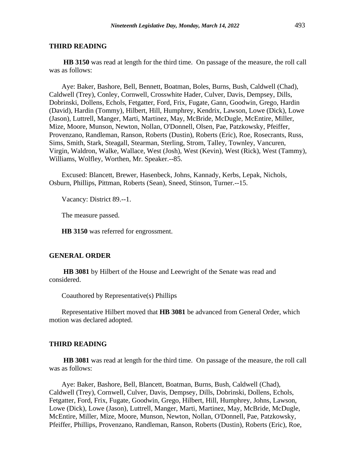#### **THIRD READING**

**HB 3150** was read at length for the third time. On passage of the measure, the roll call was as follows:

Aye: Baker, Bashore, Bell, Bennett, Boatman, Boles, Burns, Bush, Caldwell (Chad), Caldwell (Trey), Conley, Cornwell, Crosswhite Hader, Culver, Davis, Dempsey, Dills, Dobrinski, Dollens, Echols, Fetgatter, Ford, Frix, Fugate, Gann, Goodwin, Grego, Hardin (David), Hardin (Tommy), Hilbert, Hill, Humphrey, Kendrix, Lawson, Lowe (Dick), Lowe (Jason), Luttrell, Manger, Marti, Martinez, May, McBride, McDugle, McEntire, Miller, Mize, Moore, Munson, Newton, Nollan, O'Donnell, Olsen, Pae, Patzkowsky, Pfeiffer, Provenzano, Randleman, Ranson, Roberts (Dustin), Roberts (Eric), Roe, Rosecrants, Russ, Sims, Smith, Stark, Steagall, Stearman, Sterling, Strom, Talley, Townley, Vancuren, Virgin, Waldron, Walke, Wallace, West (Josh), West (Kevin), West (Rick), West (Tammy), Williams, Wolfley, Worthen, Mr. Speaker.--85.

Excused: Blancett, Brewer, Hasenbeck, Johns, Kannady, Kerbs, Lepak, Nichols, Osburn, Phillips, Pittman, Roberts (Sean), Sneed, Stinson, Turner.--15.

Vacancy: District 89.--1.

The measure passed.

**HB 3150** was referred for engrossment.

#### **GENERAL ORDER**

**HB 3081** by Hilbert of the House and Leewright of the Senate was read and considered.

Coauthored by Representative(s) Phillips

Representative Hilbert moved that **HB 3081** be advanced from General Order, which motion was declared adopted.

#### **THIRD READING**

**HB 3081** was read at length for the third time. On passage of the measure, the roll call was as follows:

Aye: Baker, Bashore, Bell, Blancett, Boatman, Burns, Bush, Caldwell (Chad), Caldwell (Trey), Cornwell, Culver, Davis, Dempsey, Dills, Dobrinski, Dollens, Echols, Fetgatter, Ford, Frix, Fugate, Goodwin, Grego, Hilbert, Hill, Humphrey, Johns, Lawson, Lowe (Dick), Lowe (Jason), Luttrell, Manger, Marti, Martinez, May, McBride, McDugle, McEntire, Miller, Mize, Moore, Munson, Newton, Nollan, O'Donnell, Pae, Patzkowsky, Pfeiffer, Phillips, Provenzano, Randleman, Ranson, Roberts (Dustin), Roberts (Eric), Roe,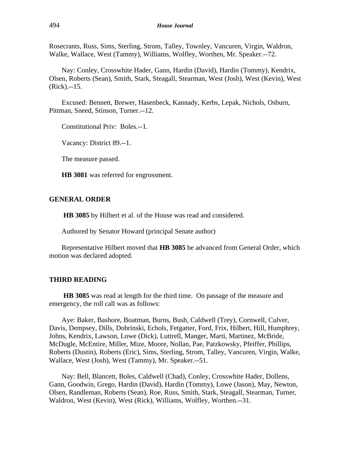Rosecrants, Russ, Sims, Sterling, Strom, Talley, Townley, Vancuren, Virgin, Waldron, Walke, Wallace, West (Tammy), Williams, Wolfley, Worthen, Mr. Speaker.--72.

Nay: Conley, Crosswhite Hader, Gann, Hardin (David), Hardin (Tommy), Kendrix, Olsen, Roberts (Sean), Smith, Stark, Steagall, Stearman, West (Josh), West (Kevin), West (Rick).--15.

Excused: Bennett, Brewer, Hasenbeck, Kannady, Kerbs, Lepak, Nichols, Osburn, Pittman, Sneed, Stinson, Turner.--12.

Constitutional Priv: Boles.--1.

Vacancy: District 89.--1.

The measure passed.

**HB 3081** was referred for engrossment.

## **GENERAL ORDER**

**HB 3085** by Hilbert et al. of the House was read and considered.

Authored by Senator Howard (principal Senate author)

Representative Hilbert moved that **HB 3085** be advanced from General Order, which motion was declared adopted.

#### **THIRD READING**

**HB 3085** was read at length for the third time. On passage of the measure and emergency, the roll call was as follows:

Aye: Baker, Bashore, Boatman, Burns, Bush, Caldwell (Trey), Cornwell, Culver, Davis, Dempsey, Dills, Dobrinski, Echols, Fetgatter, Ford, Frix, Hilbert, Hill, Humphrey, Johns, Kendrix, Lawson, Lowe (Dick), Luttrell, Manger, Marti, Martinez, McBride, McDugle, McEntire, Miller, Mize, Moore, Nollan, Pae, Patzkowsky, Pfeiffer, Phillips, Roberts (Dustin), Roberts (Eric), Sims, Sterling, Strom, Talley, Vancuren, Virgin, Walke, Wallace, West (Josh), West (Tammy), Mr. Speaker.--51.

Nay: Bell, Blancett, Boles, Caldwell (Chad), Conley, Crosswhite Hader, Dollens, Gann, Goodwin, Grego, Hardin (David), Hardin (Tommy), Lowe (Jason), May, Newton, Olsen, Randleman, Roberts (Sean), Roe, Russ, Smith, Stark, Steagall, Stearman, Turner, Waldron, West (Kevin), West (Rick), Williams, Wolfley, Worthen.--31.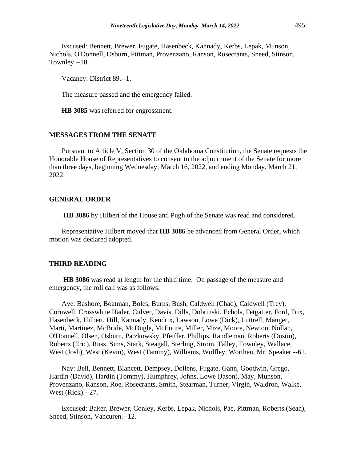Excused: Bennett, Brewer, Fugate, Hasenbeck, Kannady, Kerbs, Lepak, Munson, Nichols, O'Donnell, Osburn, Pittman, Provenzano, Ranson, Rosecrants, Sneed, Stinson, Townley.--18.

Vacancy: District 89.--1.

The measure passed and the emergency failed.

**HB 3085** was referred for engrossment.

## **MESSAGES FROM THE SENATE**

Pursuant to Article V, Section 30 of the Oklahoma Constitution, the Senate requests the Honorable House of Representatives to consent to the adjournment of the Senate for more than three days, beginning Wednesday, March 16, 2022, and ending Monday, March 21, 2022.

#### **GENERAL ORDER**

**HB 3086** by Hilbert of the House and Pugh of the Senate was read and considered.

Representative Hilbert moved that **HB 3086** be advanced from General Order, which motion was declared adopted.

#### **THIRD READING**

**HB 3086** was read at length for the third time. On passage of the measure and emergency, the roll call was as follows:

Aye: Bashore, Boatman, Boles, Burns, Bush, Caldwell (Chad), Caldwell (Trey), Cornwell, Crosswhite Hader, Culver, Davis, Dills, Dobrinski, Echols, Fetgatter, Ford, Frix, Hasenbeck, Hilbert, Hill, Kannady, Kendrix, Lawson, Lowe (Dick), Luttrell, Manger, Marti, Martinez, McBride, McDugle, McEntire, Miller, Mize, Moore, Newton, Nollan, O'Donnell, Olsen, Osburn, Patzkowsky, Pfeiffer, Phillips, Randleman, Roberts (Dustin), Roberts (Eric), Russ, Sims, Stark, Steagall, Sterling, Strom, Talley, Townley, Wallace, West (Josh), West (Kevin), West (Tammy), Williams, Wolfley, Worthen, Mr. Speaker.--61.

Nay: Bell, Bennett, Blancett, Dempsey, Dollens, Fugate, Gann, Goodwin, Grego, Hardin (David), Hardin (Tommy), Humphrey, Johns, Lowe (Jason), May, Munson, Provenzano, Ranson, Roe, Rosecrants, Smith, Stearman, Turner, Virgin, Waldron, Walke, West (Rick).--27.

Excused: Baker, Brewer, Conley, Kerbs, Lepak, Nichols, Pae, Pittman, Roberts (Sean), Sneed, Stinson, Vancuren.--12.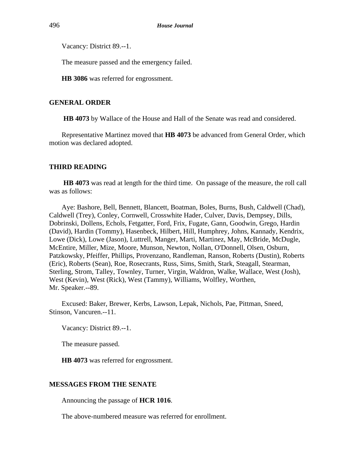Vacancy: District 89.--1.

The measure passed and the emergency failed.

**HB 3086** was referred for engrossment.

## **GENERAL ORDER**

**HB 4073** by Wallace of the House and Hall of the Senate was read and considered.

Representative Martinez moved that **HB 4073** be advanced from General Order, which motion was declared adopted.

## **THIRD READING**

**HB 4073** was read at length for the third time. On passage of the measure, the roll call was as follows:

Aye: Bashore, Bell, Bennett, Blancett, Boatman, Boles, Burns, Bush, Caldwell (Chad), Caldwell (Trey), Conley, Cornwell, Crosswhite Hader, Culver, Davis, Dempsey, Dills, Dobrinski, Dollens, Echols, Fetgatter, Ford, Frix, Fugate, Gann, Goodwin, Grego, Hardin (David), Hardin (Tommy), Hasenbeck, Hilbert, Hill, Humphrey, Johns, Kannady, Kendrix, Lowe (Dick), Lowe (Jason), Luttrell, Manger, Marti, Martinez, May, McBride, McDugle, McEntire, Miller, Mize, Moore, Munson, Newton, Nollan, O'Donnell, Olsen, Osburn, Patzkowsky, Pfeiffer, Phillips, Provenzano, Randleman, Ranson, Roberts (Dustin), Roberts (Eric), Roberts (Sean), Roe, Rosecrants, Russ, Sims, Smith, Stark, Steagall, Stearman, Sterling, Strom, Talley, Townley, Turner, Virgin, Waldron, Walke, Wallace, West (Josh), West (Kevin), West (Rick), West (Tammy), Williams, Wolfley, Worthen, Mr. Speaker.--89.

Excused: Baker, Brewer, Kerbs, Lawson, Lepak, Nichols, Pae, Pittman, Sneed, Stinson, Vancuren.--11.

Vacancy: District 89.--1.

The measure passed.

**HB 4073** was referred for engrossment.

#### **MESSAGES FROM THE SENATE**

Announcing the passage of **HCR 1016**.

The above-numbered measure was referred for enrollment.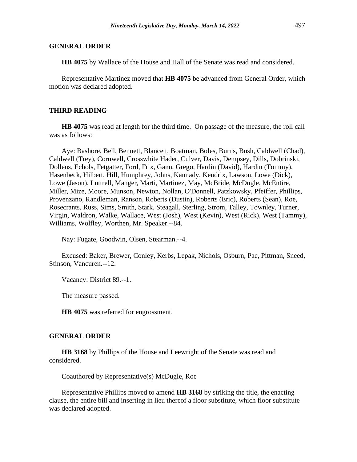#### **GENERAL ORDER**

**HB 4075** by Wallace of the House and Hall of the Senate was read and considered.

Representative Martinez moved that **HB 4075** be advanced from General Order, which motion was declared adopted.

#### **THIRD READING**

**HB 4075** was read at length for the third time. On passage of the measure, the roll call was as follows:

Aye: Bashore, Bell, Bennett, Blancett, Boatman, Boles, Burns, Bush, Caldwell (Chad), Caldwell (Trey), Cornwell, Crosswhite Hader, Culver, Davis, Dempsey, Dills, Dobrinski, Dollens, Echols, Fetgatter, Ford, Frix, Gann, Grego, Hardin (David), Hardin (Tommy), Hasenbeck, Hilbert, Hill, Humphrey, Johns, Kannady, Kendrix, Lawson, Lowe (Dick), Lowe (Jason), Luttrell, Manger, Marti, Martinez, May, McBride, McDugle, McEntire, Miller, Mize, Moore, Munson, Newton, Nollan, O'Donnell, Patzkowsky, Pfeiffer, Phillips, Provenzano, Randleman, Ranson, Roberts (Dustin), Roberts (Eric), Roberts (Sean), Roe, Rosecrants, Russ, Sims, Smith, Stark, Steagall, Sterling, Strom, Talley, Townley, Turner, Virgin, Waldron, Walke, Wallace, West (Josh), West (Kevin), West (Rick), West (Tammy), Williams, Wolfley, Worthen, Mr. Speaker.--84.

Nay: Fugate, Goodwin, Olsen, Stearman.--4.

Excused: Baker, Brewer, Conley, Kerbs, Lepak, Nichols, Osburn, Pae, Pittman, Sneed, Stinson, Vancuren.--12.

Vacancy: District 89.--1.

The measure passed.

**HB 4075** was referred for engrossment.

#### **GENERAL ORDER**

**HB 3168** by Phillips of the House and Leewright of the Senate was read and considered.

Coauthored by Representative(s) McDugle, Roe

Representative Phillips moved to amend **HB 3168** by striking the title, the enacting clause, the entire bill and inserting in lieu thereof a floor substitute, which floor substitute was declared adopted.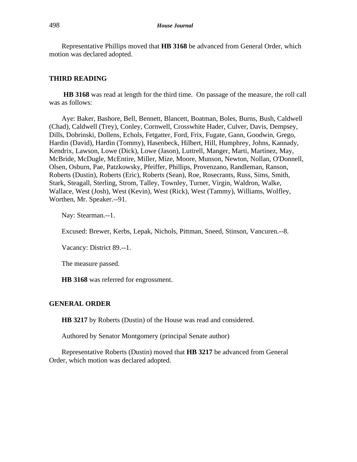Representative Phillips moved that **HB 3168** be advanced from General Order, which motion was declared adopted.

#### **THIRD READING**

**HB 3168** was read at length for the third time. On passage of the measure, the roll call was as follows:

Aye: Baker, Bashore, Bell, Bennett, Blancett, Boatman, Boles, Burns, Bush, Caldwell (Chad), Caldwell (Trey), Conley, Cornwell, Crosswhite Hader, Culver, Davis, Dempsey, Dills, Dobrinski, Dollens, Echols, Fetgatter, Ford, Frix, Fugate, Gann, Goodwin, Grego, Hardin (David), Hardin (Tommy), Hasenbeck, Hilbert, Hill, Humphrey, Johns, Kannady, Kendrix, Lawson, Lowe (Dick), Lowe (Jason), Luttrell, Manger, Marti, Martinez, May, McBride, McDugle, McEntire, Miller, Mize, Moore, Munson, Newton, Nollan, O'Donnell, Olsen, Osburn, Pae, Patzkowsky, Pfeiffer, Phillips, Provenzano, Randleman, Ranson, Roberts (Dustin), Roberts (Eric), Roberts (Sean), Roe, Rosecrants, Russ, Sims, Smith, Stark, Steagall, Sterling, Strom, Talley, Townley, Turner, Virgin, Waldron, Walke, Wallace, West (Josh), West (Kevin), West (Rick), West (Tammy), Williams, Wolfley, Worthen, Mr. Speaker.--91.

Nay: Stearman.--1.

Excused: Brewer, Kerbs, Lepak, Nichols, Pittman, Sneed, Stinson, Vancuren.--8.

Vacancy: District 89.--1.

The measure passed.

**HB 3168** was referred for engrossment.

#### **GENERAL ORDER**

**HB 3217** by Roberts (Dustin) of the House was read and considered.

Authored by Senator Montgomery (principal Senate author)

Representative Roberts (Dustin) moved that **HB 3217** be advanced from General Order, which motion was declared adopted.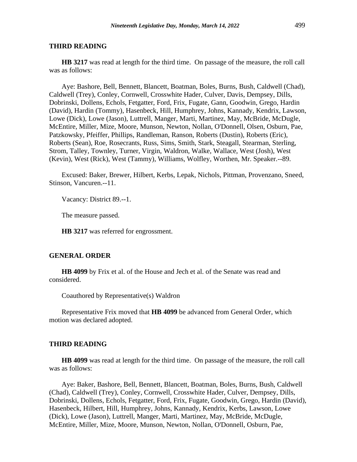#### **THIRD READING**

**HB 3217** was read at length for the third time. On passage of the measure, the roll call was as follows:

Aye: Bashore, Bell, Bennett, Blancett, Boatman, Boles, Burns, Bush, Caldwell (Chad), Caldwell (Trey), Conley, Cornwell, Crosswhite Hader, Culver, Davis, Dempsey, Dills, Dobrinski, Dollens, Echols, Fetgatter, Ford, Frix, Fugate, Gann, Goodwin, Grego, Hardin (David), Hardin (Tommy), Hasenbeck, Hill, Humphrey, Johns, Kannady, Kendrix, Lawson, Lowe (Dick), Lowe (Jason), Luttrell, Manger, Marti, Martinez, May, McBride, McDugle, McEntire, Miller, Mize, Moore, Munson, Newton, Nollan, O'Donnell, Olsen, Osburn, Pae, Patzkowsky, Pfeiffer, Phillips, Randleman, Ranson, Roberts (Dustin), Roberts (Eric), Roberts (Sean), Roe, Rosecrants, Russ, Sims, Smith, Stark, Steagall, Stearman, Sterling, Strom, Talley, Townley, Turner, Virgin, Waldron, Walke, Wallace, West (Josh), West (Kevin), West (Rick), West (Tammy), Williams, Wolfley, Worthen, Mr. Speaker.--89.

Excused: Baker, Brewer, Hilbert, Kerbs, Lepak, Nichols, Pittman, Provenzano, Sneed, Stinson, Vancuren.--11.

Vacancy: District 89.--1.

The measure passed.

**HB 3217** was referred for engrossment.

#### **GENERAL ORDER**

**HB 4099** by Frix et al. of the House and Jech et al. of the Senate was read and considered.

Coauthored by Representative(s) Waldron

Representative Frix moved that **HB 4099** be advanced from General Order, which motion was declared adopted.

#### **THIRD READING**

**HB 4099** was read at length for the third time. On passage of the measure, the roll call was as follows:

Aye: Baker, Bashore, Bell, Bennett, Blancett, Boatman, Boles, Burns, Bush, Caldwell (Chad), Caldwell (Trey), Conley, Cornwell, Crosswhite Hader, Culver, Dempsey, Dills, Dobrinski, Dollens, Echols, Fetgatter, Ford, Frix, Fugate, Goodwin, Grego, Hardin (David), Hasenbeck, Hilbert, Hill, Humphrey, Johns, Kannady, Kendrix, Kerbs, Lawson, Lowe (Dick), Lowe (Jason), Luttrell, Manger, Marti, Martinez, May, McBride, McDugle, McEntire, Miller, Mize, Moore, Munson, Newton, Nollan, O'Donnell, Osburn, Pae,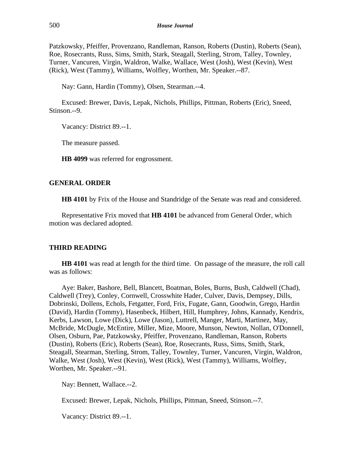Patzkowsky, Pfeiffer, Provenzano, Randleman, Ranson, Roberts (Dustin), Roberts (Sean), Roe, Rosecrants, Russ, Sims, Smith, Stark, Steagall, Sterling, Strom, Talley, Townley, Turner, Vancuren, Virgin, Waldron, Walke, Wallace, West (Josh), West (Kevin), West (Rick), West (Tammy), Williams, Wolfley, Worthen, Mr. Speaker.--87.

Nay: Gann, Hardin (Tommy), Olsen, Stearman.--4.

Excused: Brewer, Davis, Lepak, Nichols, Phillips, Pittman, Roberts (Eric), Sneed, Stinson.--9.

Vacancy: District 89.--1.

The measure passed.

**HB 4099** was referred for engrossment.

#### **GENERAL ORDER**

**HB 4101** by Frix of the House and Standridge of the Senate was read and considered.

Representative Frix moved that **HB 4101** be advanced from General Order, which motion was declared adopted.

## **THIRD READING**

**HB 4101** was read at length for the third time. On passage of the measure, the roll call was as follows:

Aye: Baker, Bashore, Bell, Blancett, Boatman, Boles, Burns, Bush, Caldwell (Chad), Caldwell (Trey), Conley, Cornwell, Crosswhite Hader, Culver, Davis, Dempsey, Dills, Dobrinski, Dollens, Echols, Fetgatter, Ford, Frix, Fugate, Gann, Goodwin, Grego, Hardin (David), Hardin (Tommy), Hasenbeck, Hilbert, Hill, Humphrey, Johns, Kannady, Kendrix, Kerbs, Lawson, Lowe (Dick), Lowe (Jason), Luttrell, Manger, Marti, Martinez, May, McBride, McDugle, McEntire, Miller, Mize, Moore, Munson, Newton, Nollan, O'Donnell, Olsen, Osburn, Pae, Patzkowsky, Pfeiffer, Provenzano, Randleman, Ranson, Roberts (Dustin), Roberts (Eric), Roberts (Sean), Roe, Rosecrants, Russ, Sims, Smith, Stark, Steagall, Stearman, Sterling, Strom, Talley, Townley, Turner, Vancuren, Virgin, Waldron, Walke, West (Josh), West (Kevin), West (Rick), West (Tammy), Williams, Wolfley, Worthen, Mr. Speaker.--91.

Nay: Bennett, Wallace.--2.

Excused: Brewer, Lepak, Nichols, Phillips, Pittman, Sneed, Stinson.--7.

Vacancy: District 89.--1.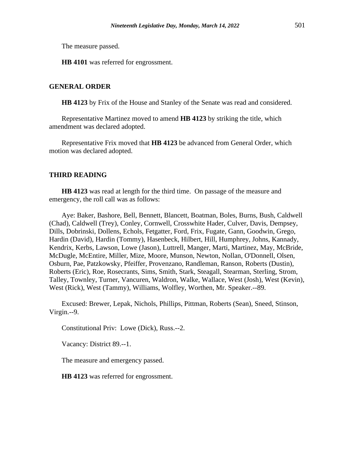The measure passed.

**HB 4101** was referred for engrossment.

#### **GENERAL ORDER**

**HB 4123** by Frix of the House and Stanley of the Senate was read and considered.

Representative Martinez moved to amend **HB 4123** by striking the title, which amendment was declared adopted.

Representative Frix moved that **HB 4123** be advanced from General Order, which motion was declared adopted.

#### **THIRD READING**

**HB 4123** was read at length for the third time. On passage of the measure and emergency, the roll call was as follows:

Aye: Baker, Bashore, Bell, Bennett, Blancett, Boatman, Boles, Burns, Bush, Caldwell (Chad), Caldwell (Trey), Conley, Cornwell, Crosswhite Hader, Culver, Davis, Dempsey, Dills, Dobrinski, Dollens, Echols, Fetgatter, Ford, Frix, Fugate, Gann, Goodwin, Grego, Hardin (David), Hardin (Tommy), Hasenbeck, Hilbert, Hill, Humphrey, Johns, Kannady, Kendrix, Kerbs, Lawson, Lowe (Jason), Luttrell, Manger, Marti, Martinez, May, McBride, McDugle, McEntire, Miller, Mize, Moore, Munson, Newton, Nollan, O'Donnell, Olsen, Osburn, Pae, Patzkowsky, Pfeiffer, Provenzano, Randleman, Ranson, Roberts (Dustin), Roberts (Eric), Roe, Rosecrants, Sims, Smith, Stark, Steagall, Stearman, Sterling, Strom, Talley, Townley, Turner, Vancuren, Waldron, Walke, Wallace, West (Josh), West (Kevin), West (Rick), West (Tammy), Williams, Wolfley, Worthen, Mr. Speaker.--89.

Excused: Brewer, Lepak, Nichols, Phillips, Pittman, Roberts (Sean), Sneed, Stinson, Virgin.--9.

Constitutional Priv: Lowe (Dick), Russ.--2.

Vacancy: District 89.--1.

The measure and emergency passed.

**HB 4123** was referred for engrossment.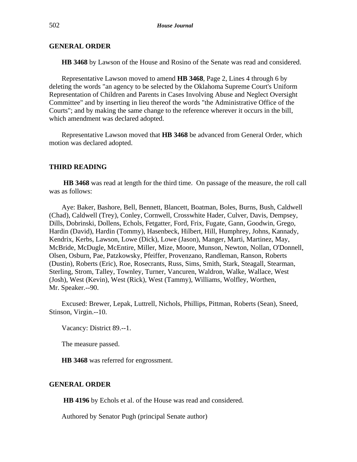## **GENERAL ORDER**

**HB 3468** by Lawson of the House and Rosino of the Senate was read and considered.

Representative Lawson moved to amend **HB 3468**, Page 2, Lines 4 through 6 by deleting the words "an agency to be selected by the Oklahoma Supreme Court's Uniform Representation of Children and Parents in Cases Involving Abuse and Neglect Oversight Committee" and by inserting in lieu thereof the words "the Administrative Office of the Courts"; and by making the same change to the reference wherever it occurs in the bill, which amendment was declared adopted.

Representative Lawson moved that **HB 3468** be advanced from General Order, which motion was declared adopted.

## **THIRD READING**

**HB 3468** was read at length for the third time. On passage of the measure, the roll call was as follows:

Aye: Baker, Bashore, Bell, Bennett, Blancett, Boatman, Boles, Burns, Bush, Caldwell (Chad), Caldwell (Trey), Conley, Cornwell, Crosswhite Hader, Culver, Davis, Dempsey, Dills, Dobrinski, Dollens, Echols, Fetgatter, Ford, Frix, Fugate, Gann, Goodwin, Grego, Hardin (David), Hardin (Tommy), Hasenbeck, Hilbert, Hill, Humphrey, Johns, Kannady, Kendrix, Kerbs, Lawson, Lowe (Dick), Lowe (Jason), Manger, Marti, Martinez, May, McBride, McDugle, McEntire, Miller, Mize, Moore, Munson, Newton, Nollan, O'Donnell, Olsen, Osburn, Pae, Patzkowsky, Pfeiffer, Provenzano, Randleman, Ranson, Roberts (Dustin), Roberts (Eric), Roe, Rosecrants, Russ, Sims, Smith, Stark, Steagall, Stearman, Sterling, Strom, Talley, Townley, Turner, Vancuren, Waldron, Walke, Wallace, West (Josh), West (Kevin), West (Rick), West (Tammy), Williams, Wolfley, Worthen, Mr. Speaker.--90.

Excused: Brewer, Lepak, Luttrell, Nichols, Phillips, Pittman, Roberts (Sean), Sneed, Stinson, Virgin.--10.

Vacancy: District 89.--1.

The measure passed.

**HB 3468** was referred for engrossment.

#### **GENERAL ORDER**

**HB 4196** by Echols et al. of the House was read and considered.

Authored by Senator Pugh (principal Senate author)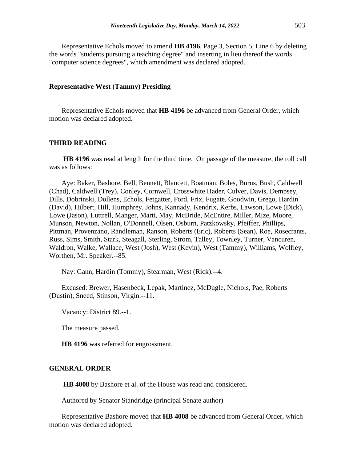Representative Echols moved to amend **HB 4196**, Page 3, Section 5, Line 6 by deleting the words "students pursuing a teaching degree" and inserting in lieu thereof the words "computer science degrees", which amendment was declared adopted.

#### **Representative West (Tammy) Presiding**

Representative Echols moved that **HB 4196** be advanced from General Order, which motion was declared adopted.

#### **THIRD READING**

**HB 4196** was read at length for the third time. On passage of the measure, the roll call was as follows:

Aye: Baker, Bashore, Bell, Bennett, Blancett, Boatman, Boles, Burns, Bush, Caldwell (Chad), Caldwell (Trey), Conley, Cornwell, Crosswhite Hader, Culver, Davis, Dempsey, Dills, Dobrinski, Dollens, Echols, Fetgatter, Ford, Frix, Fugate, Goodwin, Grego, Hardin (David), Hilbert, Hill, Humphrey, Johns, Kannady, Kendrix, Kerbs, Lawson, Lowe (Dick), Lowe (Jason), Luttrell, Manger, Marti, May, McBride, McEntire, Miller, Mize, Moore, Munson, Newton, Nollan, O'Donnell, Olsen, Osburn, Patzkowsky, Pfeiffer, Phillips, Pittman, Provenzano, Randleman, Ranson, Roberts (Eric), Roberts (Sean), Roe, Rosecrants, Russ, Sims, Smith, Stark, Steagall, Sterling, Strom, Talley, Townley, Turner, Vancuren, Waldron, Walke, Wallace, West (Josh), West (Kevin), West (Tammy), Williams, Wolfley, Worthen, Mr. Speaker.--85.

Nay: Gann, Hardin (Tommy), Stearman, West (Rick).--4.

Excused: Brewer, Hasenbeck, Lepak, Martinez, McDugle, Nichols, Pae, Roberts (Dustin), Sneed, Stinson, Virgin.--11.

Vacancy: District 89.--1.

The measure passed.

**HB 4196** was referred for engrossment.

#### **GENERAL ORDER**

**HB 4008** by Bashore et al. of the House was read and considered.

Authored by Senator Standridge (principal Senate author)

Representative Bashore moved that **HB 4008** be advanced from General Order, which motion was declared adopted.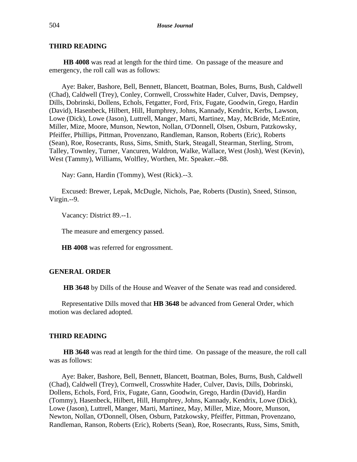## **THIRD READING**

**HB 4008** was read at length for the third time. On passage of the measure and emergency, the roll call was as follows:

Aye: Baker, Bashore, Bell, Bennett, Blancett, Boatman, Boles, Burns, Bush, Caldwell (Chad), Caldwell (Trey), Conley, Cornwell, Crosswhite Hader, Culver, Davis, Dempsey, Dills, Dobrinski, Dollens, Echols, Fetgatter, Ford, Frix, Fugate, Goodwin, Grego, Hardin (David), Hasenbeck, Hilbert, Hill, Humphrey, Johns, Kannady, Kendrix, Kerbs, Lawson, Lowe (Dick), Lowe (Jason), Luttrell, Manger, Marti, Martinez, May, McBride, McEntire, Miller, Mize, Moore, Munson, Newton, Nollan, O'Donnell, Olsen, Osburn, Patzkowsky, Pfeiffer, Phillips, Pittman, Provenzano, Randleman, Ranson, Roberts (Eric), Roberts (Sean), Roe, Rosecrants, Russ, Sims, Smith, Stark, Steagall, Stearman, Sterling, Strom, Talley, Townley, Turner, Vancuren, Waldron, Walke, Wallace, West (Josh), West (Kevin), West (Tammy), Williams, Wolfley, Worthen, Mr. Speaker.--88.

Nay: Gann, Hardin (Tommy), West (Rick).--3.

Excused: Brewer, Lepak, McDugle, Nichols, Pae, Roberts (Dustin), Sneed, Stinson, Virgin.--9.

Vacancy: District 89.--1.

The measure and emergency passed.

**HB 4008** was referred for engrossment.

## **GENERAL ORDER**

**HB 3648** by Dills of the House and Weaver of the Senate was read and considered.

Representative Dills moved that **HB 3648** be advanced from General Order, which motion was declared adopted.

#### **THIRD READING**

**HB 3648** was read at length for the third time. On passage of the measure, the roll call was as follows:

Aye: Baker, Bashore, Bell, Bennett, Blancett, Boatman, Boles, Burns, Bush, Caldwell (Chad), Caldwell (Trey), Cornwell, Crosswhite Hader, Culver, Davis, Dills, Dobrinski, Dollens, Echols, Ford, Frix, Fugate, Gann, Goodwin, Grego, Hardin (David), Hardin (Tommy), Hasenbeck, Hilbert, Hill, Humphrey, Johns, Kannady, Kendrix, Lowe (Dick), Lowe (Jason), Luttrell, Manger, Marti, Martinez, May, Miller, Mize, Moore, Munson, Newton, Nollan, O'Donnell, Olsen, Osburn, Patzkowsky, Pfeiffer, Pittman, Provenzano, Randleman, Ranson, Roberts (Eric), Roberts (Sean), Roe, Rosecrants, Russ, Sims, Smith,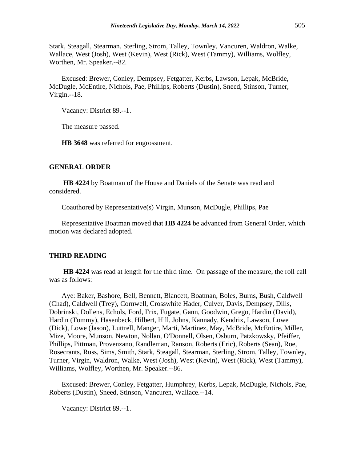Stark, Steagall, Stearman, Sterling, Strom, Talley, Townley, Vancuren, Waldron, Walke, Wallace, West (Josh), West (Kevin), West (Rick), West (Tammy), Williams, Wolfley, Worthen, Mr. Speaker.--82.

Excused: Brewer, Conley, Dempsey, Fetgatter, Kerbs, Lawson, Lepak, McBride, McDugle, McEntire, Nichols, Pae, Phillips, Roberts (Dustin), Sneed, Stinson, Turner, Virgin.--18.

Vacancy: District 89.--1.

The measure passed.

**HB 3648** was referred for engrossment.

#### **GENERAL ORDER**

**HB 4224** by Boatman of the House and Daniels of the Senate was read and considered.

Coauthored by Representative(s) Virgin, Munson, McDugle, Phillips, Pae

Representative Boatman moved that **HB 4224** be advanced from General Order, which motion was declared adopted.

#### **THIRD READING**

**HB 4224** was read at length for the third time. On passage of the measure, the roll call was as follows:

Aye: Baker, Bashore, Bell, Bennett, Blancett, Boatman, Boles, Burns, Bush, Caldwell (Chad), Caldwell (Trey), Cornwell, Crosswhite Hader, Culver, Davis, Dempsey, Dills, Dobrinski, Dollens, Echols, Ford, Frix, Fugate, Gann, Goodwin, Grego, Hardin (David), Hardin (Tommy), Hasenbeck, Hilbert, Hill, Johns, Kannady, Kendrix, Lawson, Lowe (Dick), Lowe (Jason), Luttrell, Manger, Marti, Martinez, May, McBride, McEntire, Miller, Mize, Moore, Munson, Newton, Nollan, O'Donnell, Olsen, Osburn, Patzkowsky, Pfeiffer, Phillips, Pittman, Provenzano, Randleman, Ranson, Roberts (Eric), Roberts (Sean), Roe, Rosecrants, Russ, Sims, Smith, Stark, Steagall, Stearman, Sterling, Strom, Talley, Townley, Turner, Virgin, Waldron, Walke, West (Josh), West (Kevin), West (Rick), West (Tammy), Williams, Wolfley, Worthen, Mr. Speaker.--86.

Excused: Brewer, Conley, Fetgatter, Humphrey, Kerbs, Lepak, McDugle, Nichols, Pae, Roberts (Dustin), Sneed, Stinson, Vancuren, Wallace.--14.

Vacancy: District 89.--1.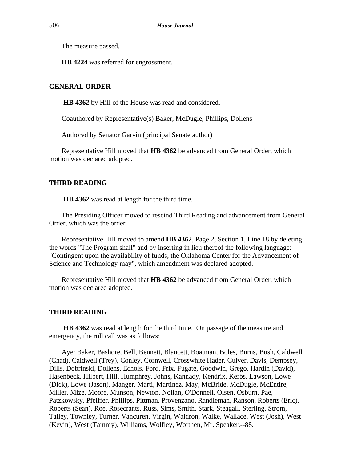The measure passed.

**HB 4224** was referred for engrossment.

## **GENERAL ORDER**

**HB 4362** by Hill of the House was read and considered.

Coauthored by Representative(s) Baker, McDugle, Phillips, Dollens

Authored by Senator Garvin (principal Senate author)

Representative Hill moved that **HB 4362** be advanced from General Order, which motion was declared adopted.

## **THIRD READING**

**HB 4362** was read at length for the third time.

The Presiding Officer moved to rescind Third Reading and advancement from General Order, which was the order.

Representative Hill moved to amend **HB 4362**, Page 2, Section 1, Line 18 by deleting the words "The Program shall" and by inserting in lieu thereof the following language: "Contingent upon the availability of funds, the Oklahoma Center for the Advancement of Science and Technology may", which amendment was declared adopted.

Representative Hill moved that **HB 4362** be advanced from General Order, which motion was declared adopted.

## **THIRD READING**

**HB 4362** was read at length for the third time. On passage of the measure and emergency, the roll call was as follows:

Aye: Baker, Bashore, Bell, Bennett, Blancett, Boatman, Boles, Burns, Bush, Caldwell (Chad), Caldwell (Trey), Conley, Cornwell, Crosswhite Hader, Culver, Davis, Dempsey, Dills, Dobrinski, Dollens, Echols, Ford, Frix, Fugate, Goodwin, Grego, Hardin (David), Hasenbeck, Hilbert, Hill, Humphrey, Johns, Kannady, Kendrix, Kerbs, Lawson, Lowe (Dick), Lowe (Jason), Manger, Marti, Martinez, May, McBride, McDugle, McEntire, Miller, Mize, Moore, Munson, Newton, Nollan, O'Donnell, Olsen, Osburn, Pae, Patzkowsky, Pfeiffer, Phillips, Pittman, Provenzano, Randleman, Ranson, Roberts (Eric), Roberts (Sean), Roe, Rosecrants, Russ, Sims, Smith, Stark, Steagall, Sterling, Strom, Talley, Townley, Turner, Vancuren, Virgin, Waldron, Walke, Wallace, West (Josh), West (Kevin), West (Tammy), Williams, Wolfley, Worthen, Mr. Speaker.--88.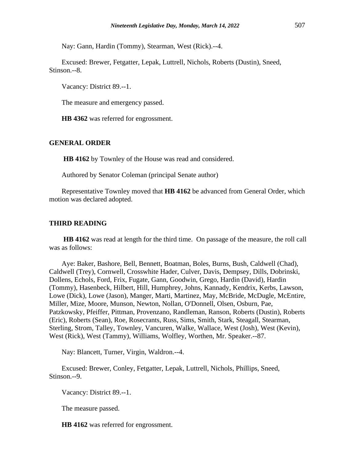Nay: Gann, Hardin (Tommy), Stearman, West (Rick).--4.

Excused: Brewer, Fetgatter, Lepak, Luttrell, Nichols, Roberts (Dustin), Sneed, Stinson.--8.

Vacancy: District 89.--1.

The measure and emergency passed.

**HB 4362** was referred for engrossment.

## **GENERAL ORDER**

**HB 4162** by Townley of the House was read and considered.

Authored by Senator Coleman (principal Senate author)

Representative Townley moved that **HB 4162** be advanced from General Order, which motion was declared adopted.

#### **THIRD READING**

**HB 4162** was read at length for the third time. On passage of the measure, the roll call was as follows:

Aye: Baker, Bashore, Bell, Bennett, Boatman, Boles, Burns, Bush, Caldwell (Chad), Caldwell (Trey), Cornwell, Crosswhite Hader, Culver, Davis, Dempsey, Dills, Dobrinski, Dollens, Echols, Ford, Frix, Fugate, Gann, Goodwin, Grego, Hardin (David), Hardin (Tommy), Hasenbeck, Hilbert, Hill, Humphrey, Johns, Kannady, Kendrix, Kerbs, Lawson, Lowe (Dick), Lowe (Jason), Manger, Marti, Martinez, May, McBride, McDugle, McEntire, Miller, Mize, Moore, Munson, Newton, Nollan, O'Donnell, Olsen, Osburn, Pae, Patzkowsky, Pfeiffer, Pittman, Provenzano, Randleman, Ranson, Roberts (Dustin), Roberts (Eric), Roberts (Sean), Roe, Rosecrants, Russ, Sims, Smith, Stark, Steagall, Stearman, Sterling, Strom, Talley, Townley, Vancuren, Walke, Wallace, West (Josh), West (Kevin), West (Rick), West (Tammy), Williams, Wolfley, Worthen, Mr. Speaker.--87.

Nay: Blancett, Turner, Virgin, Waldron.--4.

Excused: Brewer, Conley, Fetgatter, Lepak, Luttrell, Nichols, Phillips, Sneed, Stinson.--9.

Vacancy: District 89.--1.

The measure passed.

**HB 4162** was referred for engrossment.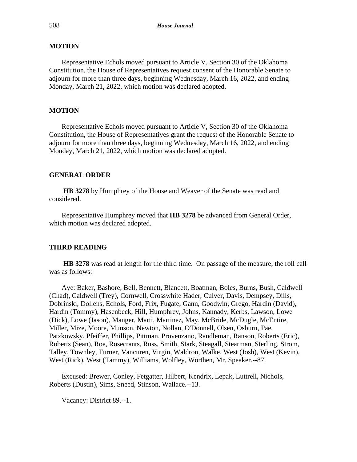## **MOTION**

Representative Echols moved pursuant to Article V, Section 30 of the Oklahoma Constitution, the House of Representatives request consent of the Honorable Senate to adjourn for more than three days, beginning Wednesday, March 16, 2022, and ending Monday, March 21, 2022, which motion was declared adopted.

## **MOTION**

Representative Echols moved pursuant to Article V, Section 30 of the Oklahoma Constitution, the House of Representatives grant the request of the Honorable Senate to adjourn for more than three days, beginning Wednesday, March 16, 2022, and ending Monday, March 21, 2022, which motion was declared adopted.

#### **GENERAL ORDER**

**HB 3278** by Humphrey of the House and Weaver of the Senate was read and considered.

Representative Humphrey moved that **HB 3278** be advanced from General Order, which motion was declared adopted.

#### **THIRD READING**

**HB 3278** was read at length for the third time. On passage of the measure, the roll call was as follows:

Aye: Baker, Bashore, Bell, Bennett, Blancett, Boatman, Boles, Burns, Bush, Caldwell (Chad), Caldwell (Trey), Cornwell, Crosswhite Hader, Culver, Davis, Dempsey, Dills, Dobrinski, Dollens, Echols, Ford, Frix, Fugate, Gann, Goodwin, Grego, Hardin (David), Hardin (Tommy), Hasenbeck, Hill, Humphrey, Johns, Kannady, Kerbs, Lawson, Lowe (Dick), Lowe (Jason), Manger, Marti, Martinez, May, McBride, McDugle, McEntire, Miller, Mize, Moore, Munson, Newton, Nollan, O'Donnell, Olsen, Osburn, Pae, Patzkowsky, Pfeiffer, Phillips, Pittman, Provenzano, Randleman, Ranson, Roberts (Eric), Roberts (Sean), Roe, Rosecrants, Russ, Smith, Stark, Steagall, Stearman, Sterling, Strom, Talley, Townley, Turner, Vancuren, Virgin, Waldron, Walke, West (Josh), West (Kevin), West (Rick), West (Tammy), Williams, Wolfley, Worthen, Mr. Speaker.--87.

Excused: Brewer, Conley, Fetgatter, Hilbert, Kendrix, Lepak, Luttrell, Nichols, Roberts (Dustin), Sims, Sneed, Stinson, Wallace.--13.

Vacancy: District 89.--1.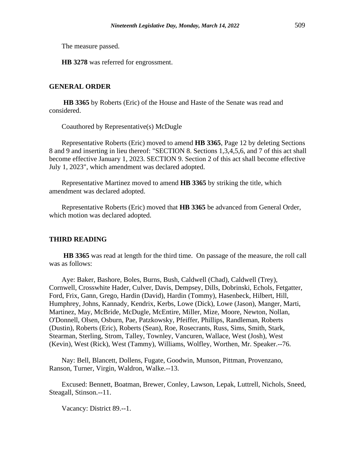The measure passed.

**HB 3278** was referred for engrossment.

## **GENERAL ORDER**

**HB 3365** by Roberts (Eric) of the House and Haste of the Senate was read and considered.

Coauthored by Representative(s) McDugle

Representative Roberts (Eric) moved to amend **HB 3365**, Page 12 by deleting Sections 8 and 9 and inserting in lieu thereof: "SECTION 8. Sections 1,3,4,5,6, and 7 of this act shall become effective January 1, 2023. SECTION 9. Section 2 of this act shall become effective July 1, 2023", which amendment was declared adopted.

Representative Martinez moved to amend **HB 3365** by striking the title, which amendment was declared adopted.

Representative Roberts (Eric) moved that **HB 3365** be advanced from General Order, which motion was declared adopted.

#### **THIRD READING**

**HB 3365** was read at length for the third time. On passage of the measure, the roll call was as follows:

Aye: Baker, Bashore, Boles, Burns, Bush, Caldwell (Chad), Caldwell (Trey), Cornwell, Crosswhite Hader, Culver, Davis, Dempsey, Dills, Dobrinski, Echols, Fetgatter, Ford, Frix, Gann, Grego, Hardin (David), Hardin (Tommy), Hasenbeck, Hilbert, Hill, Humphrey, Johns, Kannady, Kendrix, Kerbs, Lowe (Dick), Lowe (Jason), Manger, Marti, Martinez, May, McBride, McDugle, McEntire, Miller, Mize, Moore, Newton, Nollan, O'Donnell, Olsen, Osburn, Pae, Patzkowsky, Pfeiffer, Phillips, Randleman, Roberts (Dustin), Roberts (Eric), Roberts (Sean), Roe, Rosecrants, Russ, Sims, Smith, Stark, Stearman, Sterling, Strom, Talley, Townley, Vancuren, Wallace, West (Josh), West (Kevin), West (Rick), West (Tammy), Williams, Wolfley, Worthen, Mr. Speaker.--76.

Nay: Bell, Blancett, Dollens, Fugate, Goodwin, Munson, Pittman, Provenzano, Ranson, Turner, Virgin, Waldron, Walke.--13.

Excused: Bennett, Boatman, Brewer, Conley, Lawson, Lepak, Luttrell, Nichols, Sneed, Steagall, Stinson.--11.

Vacancy: District 89.--1.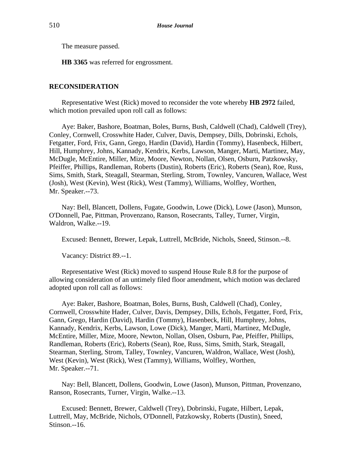The measure passed.

**HB 3365** was referred for engrossment.

## **RECONSIDERATION**

Representative West (Rick) moved to reconsider the vote whereby **HB 2972** failed, which motion prevailed upon roll call as follows:

Aye: Baker, Bashore, Boatman, Boles, Burns, Bush, Caldwell (Chad), Caldwell (Trey), Conley, Cornwell, Crosswhite Hader, Culver, Davis, Dempsey, Dills, Dobrinski, Echols, Fetgatter, Ford, Frix, Gann, Grego, Hardin (David), Hardin (Tommy), Hasenbeck, Hilbert, Hill, Humphrey, Johns, Kannady, Kendrix, Kerbs, Lawson, Manger, Marti, Martinez, May, McDugle, McEntire, Miller, Mize, Moore, Newton, Nollan, Olsen, Osburn, Patzkowsky, Pfeiffer, Phillips, Randleman, Roberts (Dustin), Roberts (Eric), Roberts (Sean), Roe, Russ, Sims, Smith, Stark, Steagall, Stearman, Sterling, Strom, Townley, Vancuren, Wallace, West (Josh), West (Kevin), West (Rick), West (Tammy), Williams, Wolfley, Worthen, Mr. Speaker.--73.

Nay: Bell, Blancett, Dollens, Fugate, Goodwin, Lowe (Dick), Lowe (Jason), Munson, O'Donnell, Pae, Pittman, Provenzano, Ranson, Rosecrants, Talley, Turner, Virgin, Waldron, Walke.--19.

Excused: Bennett, Brewer, Lepak, Luttrell, McBride, Nichols, Sneed, Stinson.--8.

Vacancy: District 89.--1.

Representative West (Rick) moved to suspend House Rule 8.8 for the purpose of allowing consideration of an untimely filed floor amendment, which motion was declared adopted upon roll call as follows:

Aye: Baker, Bashore, Boatman, Boles, Burns, Bush, Caldwell (Chad), Conley, Cornwell, Crosswhite Hader, Culver, Davis, Dempsey, Dills, Echols, Fetgatter, Ford, Frix, Gann, Grego, Hardin (David), Hardin (Tommy), Hasenbeck, Hill, Humphrey, Johns, Kannady, Kendrix, Kerbs, Lawson, Lowe (Dick), Manger, Marti, Martinez, McDugle, McEntire, Miller, Mize, Moore, Newton, Nollan, Olsen, Osburn, Pae, Pfeiffer, Phillips, Randleman, Roberts (Eric), Roberts (Sean), Roe, Russ, Sims, Smith, Stark, Steagall, Stearman, Sterling, Strom, Talley, Townley, Vancuren, Waldron, Wallace, West (Josh), West (Kevin), West (Rick), West (Tammy), Williams, Wolfley, Worthen, Mr. Speaker.--71.

Nay: Bell, Blancett, Dollens, Goodwin, Lowe (Jason), Munson, Pittman, Provenzano, Ranson, Rosecrants, Turner, Virgin, Walke.--13.

Excused: Bennett, Brewer, Caldwell (Trey), Dobrinski, Fugate, Hilbert, Lepak, Luttrell, May, McBride, Nichols, O'Donnell, Patzkowsky, Roberts (Dustin), Sneed, Stinson.--16.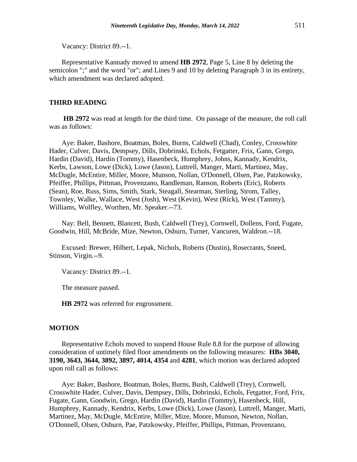Vacancy: District 89.--1.

Representative Kannady moved to amend **HB 2972**, Page 5, Line 8 by deleting the semicolon ";" and the word "or"; and Lines 9 and 10 by deleting Paragraph 3 in its entirety, which amendment was declared adopted.

#### **THIRD READING**

**HB 2972** was read at length for the third time. On passage of the measure, the roll call was as follows:

Aye: Baker, Bashore, Boatman, Boles, Burns, Caldwell (Chad), Conley, Crosswhite Hader, Culver, Davis, Dempsey, Dills, Dobrinski, Echols, Fetgatter, Frix, Gann, Grego, Hardin (David), Hardin (Tommy), Hasenbeck, Humphrey, Johns, Kannady, Kendrix, Kerbs, Lawson, Lowe (Dick), Lowe (Jason), Luttrell, Manger, Marti, Martinez, May, McDugle, McEntire, Miller, Moore, Munson, Nollan, O'Donnell, Olsen, Pae, Patzkowsky, Pfeiffer, Phillips, Pittman, Provenzano, Randleman, Ranson, Roberts (Eric), Roberts (Sean), Roe, Russ, Sims, Smith, Stark, Steagall, Stearman, Sterling, Strom, Talley, Townley, Walke, Wallace, West (Josh), West (Kevin), West (Rick), West (Tammy), Williams, Wolfley, Worthen, Mr. Speaker.--73.

Nay: Bell, Bennett, Blancett, Bush, Caldwell (Trey), Cornwell, Dollens, Ford, Fugate, Goodwin, Hill, McBride, Mize, Newton, Osburn, Turner, Vancuren, Waldron.--18.

Excused: Brewer, Hilbert, Lepak, Nichols, Roberts (Dustin), Rosecrants, Sneed, Stinson, Virgin.--9.

Vacancy: District 89.--1.

The measure passed.

**HB 2972** was referred for engrossment.

#### **MOTION**

Representative Echols moved to suspend House Rule 8.8 for the purpose of allowing consideration of untimely filed floor amendments on the following measures: **HBs 3040, 3190, 3643, 3644, 3892, 3897, 4014, 4354** and **4281**, which motion was declared adopted upon roll call as follows:

Aye: Baker, Bashore, Boatman, Boles, Burns, Bush, Caldwell (Trey), Cornwell, Crosswhite Hader, Culver, Davis, Dempsey, Dills, Dobrinski, Echols, Fetgatter, Ford, Frix, Fugate, Gann, Goodwin, Grego, Hardin (David), Hardin (Tommy), Hasenbeck, Hill, Humphrey, Kannady, Kendrix, Kerbs, Lowe (Dick), Lowe (Jason), Luttrell, Manger, Marti, Martinez, May, McDugle, McEntire, Miller, Mize, Moore, Munson, Newton, Nollan, O'Donnell, Olsen, Osburn, Pae, Patzkowsky, Pfeiffer, Phillips, Pittman, Provenzano,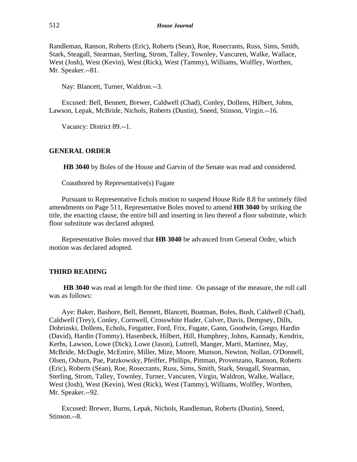Randleman, Ranson, Roberts (Eric), Roberts (Sean), Roe, Rosecrants, Russ, Sims, Smith, Stark, Steagall, Stearman, Sterling, Strom, Talley, Townley, Vancuren, Walke, Wallace, West (Josh), West (Kevin), West (Rick), West (Tammy), Williams, Wolfley, Worthen, Mr. Speaker.--81.

Nay: Blancett, Turner, Waldron.--3.

Excused: Bell, Bennett, Brewer, Caldwell (Chad), Conley, Dollens, Hilbert, Johns, Lawson, Lepak, McBride, Nichols, Roberts (Dustin), Sneed, Stinson, Virgin.--16.

Vacancy: District 89.--1.

#### **GENERAL ORDER**

**HB 3040** by Boles of the House and Garvin of the Senate was read and considered.

Coauthored by Representative(s) Fugate

Pursuant to Representative Echols motion to suspend House Rule 8.8 for untimely filed amendments on Page 511, Representative Boles moved to amend **HB 3040** by striking the title, the enacting clause, the entire bill and inserting in lieu thereof a floor substitute, which floor substitute was declared adopted.

Representative Boles moved that **HB 3040** be advanced from General Order, which motion was declared adopted.

#### **THIRD READING**

**HB 3040** was read at length for the third time. On passage of the measure, the roll call was as follows:

Aye: Baker, Bashore, Bell, Bennett, Blancett, Boatman, Boles, Bush, Caldwell (Chad), Caldwell (Trey), Conley, Cornwell, Crosswhite Hader, Culver, Davis, Dempsey, Dills, Dobrinski, Dollens, Echols, Fetgatter, Ford, Frix, Fugate, Gann, Goodwin, Grego, Hardin (David), Hardin (Tommy), Hasenbeck, Hilbert, Hill, Humphrey, Johns, Kannady, Kendrix, Kerbs, Lawson, Lowe (Dick), Lowe (Jason), Luttrell, Manger, Marti, Martinez, May, McBride, McDugle, McEntire, Miller, Mize, Moore, Munson, Newton, Nollan, O'Donnell, Olsen, Osburn, Pae, Patzkowsky, Pfeiffer, Phillips, Pittman, Provenzano, Ranson, Roberts (Eric), Roberts (Sean), Roe, Rosecrants, Russ, Sims, Smith, Stark, Steagall, Stearman, Sterling, Strom, Talley, Townley, Turner, Vancuren, Virgin, Waldron, Walke, Wallace, West (Josh), West (Kevin), West (Rick), West (Tammy), Williams, Wolfley, Worthen, Mr. Speaker.--92.

Excused: Brewer, Burns, Lepak, Nichols, Randleman, Roberts (Dustin), Sneed, Stinson.--8.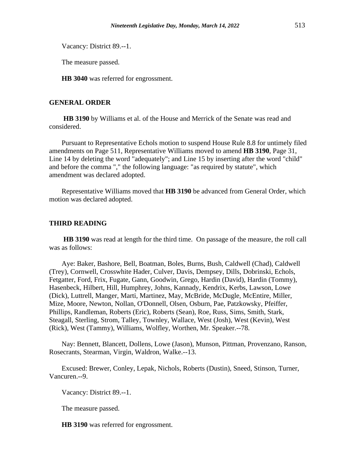Vacancy: District 89.--1.

The measure passed.

**HB 3040** was referred for engrossment.

## **GENERAL ORDER**

**HB 3190** by Williams et al. of the House and Merrick of the Senate was read and considered.

Pursuant to Representative Echols motion to suspend House Rule 8.8 for untimely filed amendments on Page 511, Representative Williams moved to amend **HB 3190**, Page 31, Line 14 by deleting the word "adequately"; and Line 15 by inserting after the word "child" and before the comma "," the following language: "as required by statute", which amendment was declared adopted.

Representative Williams moved that **HB 3190** be advanced from General Order, which motion was declared adopted.

#### **THIRD READING**

**HB 3190** was read at length for the third time. On passage of the measure, the roll call was as follows:

Aye: Baker, Bashore, Bell, Boatman, Boles, Burns, Bush, Caldwell (Chad), Caldwell (Trey), Cornwell, Crosswhite Hader, Culver, Davis, Dempsey, Dills, Dobrinski, Echols, Fetgatter, Ford, Frix, Fugate, Gann, Goodwin, Grego, Hardin (David), Hardin (Tommy), Hasenbeck, Hilbert, Hill, Humphrey, Johns, Kannady, Kendrix, Kerbs, Lawson, Lowe (Dick), Luttrell, Manger, Marti, Martinez, May, McBride, McDugle, McEntire, Miller, Mize, Moore, Newton, Nollan, O'Donnell, Olsen, Osburn, Pae, Patzkowsky, Pfeiffer, Phillips, Randleman, Roberts (Eric), Roberts (Sean), Roe, Russ, Sims, Smith, Stark, Steagall, Sterling, Strom, Talley, Townley, Wallace, West (Josh), West (Kevin), West (Rick), West (Tammy), Williams, Wolfley, Worthen, Mr. Speaker.--78.

Nay: Bennett, Blancett, Dollens, Lowe (Jason), Munson, Pittman, Provenzano, Ranson, Rosecrants, Stearman, Virgin, Waldron, Walke.--13.

Excused: Brewer, Conley, Lepak, Nichols, Roberts (Dustin), Sneed, Stinson, Turner, Vancuren.--9.

Vacancy: District 89.--1.

The measure passed.

**HB 3190** was referred for engrossment.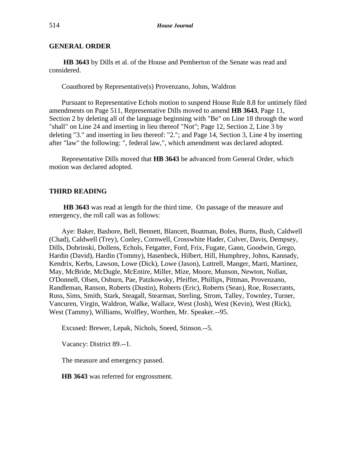## **GENERAL ORDER**

**HB 3643** by Dills et al. of the House and Pemberton of the Senate was read and considered.

Coauthored by Representative(s) Provenzano, Johns, Waldron

Pursuant to Representative Echols motion to suspend House Rule 8.8 for untimely filed amendments on Page 511, Representative Dills moved to amend **HB 3643**, Page 11, Section 2 by deleting all of the language beginning with "Be" on Line 18 through the word "shall" on Line 24 and inserting in lieu thereof "Not"; Page 12, Section 2, Line 3 by deleting "3." and inserting in lieu thereof: "2."; and Page 14, Section 3, Line 4 by inserting after "law" the following: ", federal law,", which amendment was declared adopted.

Representative Dills moved that **HB 3643** be advanced from General Order, which motion was declared adopted.

#### **THIRD READING**

**HB 3643** was read at length for the third time. On passage of the measure and emergency, the roll call was as follows:

Aye: Baker, Bashore, Bell, Bennett, Blancett, Boatman, Boles, Burns, Bush, Caldwell (Chad), Caldwell (Trey), Conley, Cornwell, Crosswhite Hader, Culver, Davis, Dempsey, Dills, Dobrinski, Dollens, Echols, Fetgatter, Ford, Frix, Fugate, Gann, Goodwin, Grego, Hardin (David), Hardin (Tommy), Hasenbeck, Hilbert, Hill, Humphrey, Johns, Kannady, Kendrix, Kerbs, Lawson, Lowe (Dick), Lowe (Jason), Luttrell, Manger, Marti, Martinez, May, McBride, McDugle, McEntire, Miller, Mize, Moore, Munson, Newton, Nollan, O'Donnell, Olsen, Osburn, Pae, Patzkowsky, Pfeiffer, Phillips, Pittman, Provenzano, Randleman, Ranson, Roberts (Dustin), Roberts (Eric), Roberts (Sean), Roe, Rosecrants, Russ, Sims, Smith, Stark, Steagall, Stearman, Sterling, Strom, Talley, Townley, Turner, Vancuren, Virgin, Waldron, Walke, Wallace, West (Josh), West (Kevin), West (Rick), West (Tammy), Williams, Wolfley, Worthen, Mr. Speaker.--95.

Excused: Brewer, Lepak, Nichols, Sneed, Stinson.--5.

Vacancy: District 89.--1.

The measure and emergency passed.

**HB 3643** was referred for engrossment.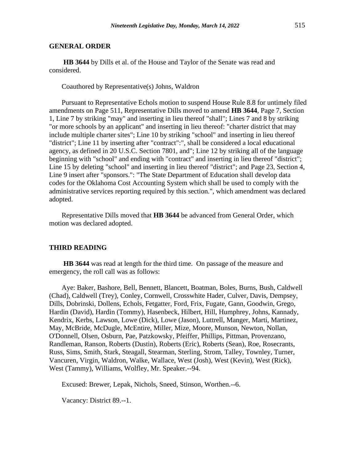#### **GENERAL ORDER**

**HB 3644** by Dills et al. of the House and Taylor of the Senate was read and considered.

Coauthored by Representative(s) Johns, Waldron

Pursuant to Representative Echols motion to suspend House Rule 8.8 for untimely filed amendments on Page 511, Representative Dills moved to amend **HB 3644**, Page 7, Section 1, Line 7 by striking "may" and inserting in lieu thereof "shall"; Lines 7 and 8 by striking "or more schools by an applicant" and inserting in lieu thereof: "charter district that may include multiple charter sites"; Line 10 by striking "school" and inserting in lieu thereof "district"; Line 11 by inserting after "contract":", shall be considered a local educational agency, as defined in 20 U.S.C. Section 7801, and"; Line 12 by striking all of the language beginning with "school" and ending with "contract" and inserting in lieu thereof "district"; Line 15 by deleting "school" and inserting in lieu thereof "district"; and Page 23, Section 4, Line 9 insert after "sponsors.": "The State Department of Education shall develop data codes for the Oklahoma Cost Accounting System which shall be used to comply with the administrative services reporting required by this section.", which amendment was declared adopted.

Representative Dills moved that **HB 3644** be advanced from General Order, which motion was declared adopted.

#### **THIRD READING**

**HB 3644** was read at length for the third time. On passage of the measure and emergency, the roll call was as follows:

Aye: Baker, Bashore, Bell, Bennett, Blancett, Boatman, Boles, Burns, Bush, Caldwell (Chad), Caldwell (Trey), Conley, Cornwell, Crosswhite Hader, Culver, Davis, Dempsey, Dills, Dobrinski, Dollens, Echols, Fetgatter, Ford, Frix, Fugate, Gann, Goodwin, Grego, Hardin (David), Hardin (Tommy), Hasenbeck, Hilbert, Hill, Humphrey, Johns, Kannady, Kendrix, Kerbs, Lawson, Lowe (Dick), Lowe (Jason), Luttrell, Manger, Marti, Martinez, May, McBride, McDugle, McEntire, Miller, Mize, Moore, Munson, Newton, Nollan, O'Donnell, Olsen, Osburn, Pae, Patzkowsky, Pfeiffer, Phillips, Pittman, Provenzano, Randleman, Ranson, Roberts (Dustin), Roberts (Eric), Roberts (Sean), Roe, Rosecrants, Russ, Sims, Smith, Stark, Steagall, Stearman, Sterling, Strom, Talley, Townley, Turner, Vancuren, Virgin, Waldron, Walke, Wallace, West (Josh), West (Kevin), West (Rick), West (Tammy), Williams, Wolfley, Mr. Speaker.--94.

Excused: Brewer, Lepak, Nichols, Sneed, Stinson, Worthen.--6.

Vacancy: District 89.--1.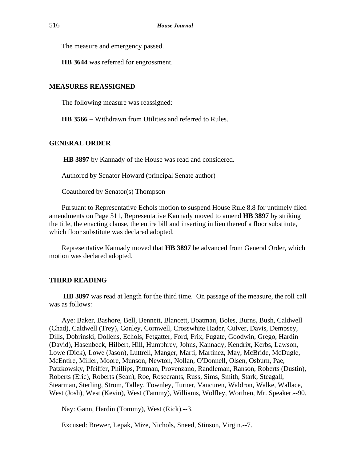The measure and emergency passed.

**HB 3644** was referred for engrossment.

## **MEASURES REASSIGNED**

The following measure was reassigned:

**HB 3566** − Withdrawn from Utilities and referred to Rules.

#### **GENERAL ORDER**

**HB 3897** by Kannady of the House was read and considered.

Authored by Senator Howard (principal Senate author)

Coauthored by Senator(s) Thompson

Pursuant to Representative Echols motion to suspend House Rule 8.8 for untimely filed amendments on Page 511, Representative Kannady moved to amend **HB 3897** by striking the title, the enacting clause, the entire bill and inserting in lieu thereof a floor substitute, which floor substitute was declared adopted.

Representative Kannady moved that **HB 3897** be advanced from General Order, which motion was declared adopted.

## **THIRD READING**

**HB 3897** was read at length for the third time. On passage of the measure, the roll call was as follows:

Aye: Baker, Bashore, Bell, Bennett, Blancett, Boatman, Boles, Burns, Bush, Caldwell (Chad), Caldwell (Trey), Conley, Cornwell, Crosswhite Hader, Culver, Davis, Dempsey, Dills, Dobrinski, Dollens, Echols, Fetgatter, Ford, Frix, Fugate, Goodwin, Grego, Hardin (David), Hasenbeck, Hilbert, Hill, Humphrey, Johns, Kannady, Kendrix, Kerbs, Lawson, Lowe (Dick), Lowe (Jason), Luttrell, Manger, Marti, Martinez, May, McBride, McDugle, McEntire, Miller, Moore, Munson, Newton, Nollan, O'Donnell, Olsen, Osburn, Pae, Patzkowsky, Pfeiffer, Phillips, Pittman, Provenzano, Randleman, Ranson, Roberts (Dustin), Roberts (Eric), Roberts (Sean), Roe, Rosecrants, Russ, Sims, Smith, Stark, Steagall, Stearman, Sterling, Strom, Talley, Townley, Turner, Vancuren, Waldron, Walke, Wallace, West (Josh), West (Kevin), West (Tammy), Williams, Wolfley, Worthen, Mr. Speaker.--90.

Nay: Gann, Hardin (Tommy), West (Rick).--3.

Excused: Brewer, Lepak, Mize, Nichols, Sneed, Stinson, Virgin.--7.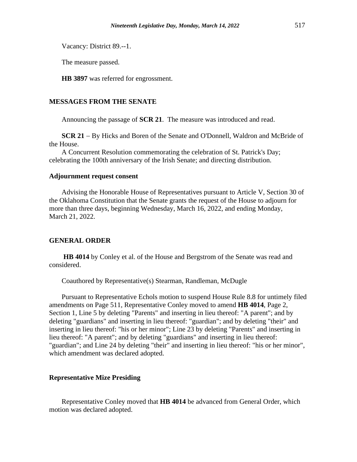Vacancy: District 89.--1.

The measure passed.

**HB 3897** was referred for engrossment.

#### **MESSAGES FROM THE SENATE**

Announcing the passage of **SCR 21**. The measure was introduced and read.

**SCR 21** − By Hicks and Boren of the Senate and O'Donnell, Waldron and McBride of the House.

A Concurrent Resolution commemorating the celebration of St. Patrick's Day; celebrating the 100th anniversary of the Irish Senate; and directing distribution.

## **Adjournment request consent**

Advising the Honorable House of Representatives pursuant to Article V, Section 30 of the Oklahoma Constitution that the Senate grants the request of the House to adjourn for more than three days, beginning Wednesday, March 16, 2022, and ending Monday, March 21, 2022.

## **GENERAL ORDER**

**HB 4014** by Conley et al. of the House and Bergstrom of the Senate was read and considered.

Coauthored by Representative(s) Stearman, Randleman, McDugle

Pursuant to Representative Echols motion to suspend House Rule 8.8 for untimely filed amendments on Page 511, Representative Conley moved to amend **HB 4014**, Page 2, Section 1, Line 5 by deleting "Parents" and inserting in lieu thereof: "A parent"; and by deleting "guardians" and inserting in lieu thereof: "guardian"; and by deleting "their" and inserting in lieu thereof: "his or her minor"; Line 23 by deleting "Parents" and inserting in lieu thereof: "A parent"; and by deleting "guardians" and inserting in lieu thereof: "guardian"; and Line 24 by deleting "their" and inserting in lieu thereof: "his or her minor", which amendment was declared adopted.

#### **Representative Mize Presiding**

Representative Conley moved that **HB 4014** be advanced from General Order, which motion was declared adopted.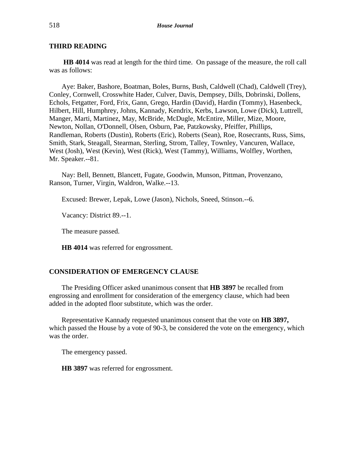## **THIRD READING**

**HB 4014** was read at length for the third time. On passage of the measure, the roll call was as follows:

Aye: Baker, Bashore, Boatman, Boles, Burns, Bush, Caldwell (Chad), Caldwell (Trey), Conley, Cornwell, Crosswhite Hader, Culver, Davis, Dempsey, Dills, Dobrinski, Dollens, Echols, Fetgatter, Ford, Frix, Gann, Grego, Hardin (David), Hardin (Tommy), Hasenbeck, Hilbert, Hill, Humphrey, Johns, Kannady, Kendrix, Kerbs, Lawson, Lowe (Dick), Luttrell, Manger, Marti, Martinez, May, McBride, McDugle, McEntire, Miller, Mize, Moore, Newton, Nollan, O'Donnell, Olsen, Osburn, Pae, Patzkowsky, Pfeiffer, Phillips, Randleman, Roberts (Dustin), Roberts (Eric), Roberts (Sean), Roe, Rosecrants, Russ, Sims, Smith, Stark, Steagall, Stearman, Sterling, Strom, Talley, Townley, Vancuren, Wallace, West (Josh), West (Kevin), West (Rick), West (Tammy), Williams, Wolfley, Worthen, Mr. Speaker.--81.

Nay: Bell, Bennett, Blancett, Fugate, Goodwin, Munson, Pittman, Provenzano, Ranson, Turner, Virgin, Waldron, Walke.--13.

Excused: Brewer, Lepak, Lowe (Jason), Nichols, Sneed, Stinson.--6.

Vacancy: District 89.--1.

The measure passed.

**HB 4014** was referred for engrossment.

## **CONSIDERATION OF EMERGENCY CLAUSE**

The Presiding Officer asked unanimous consent that **HB 3897** be recalled from engrossing and enrollment for consideration of the emergency clause, which had been added in the adopted floor substitute, which was the order.

Representative Kannady requested unanimous consent that the vote on **HB 3897,** which passed the House by a vote of 90-3, be considered the vote on the emergency, which was the order.

The emergency passed.

**HB 3897** was referred for engrossment.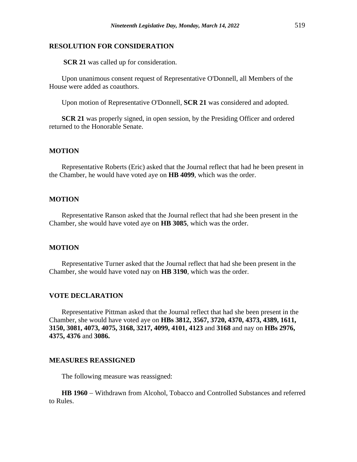#### **RESOLUTION FOR CONSIDERATION**

**SCR 21** was called up for consideration.

Upon unanimous consent request of Representative O'Donnell, all Members of the House were added as coauthors.

Upon motion of Representative O'Donnell, **SCR 21** was considered and adopted.

**SCR 21** was properly signed, in open session, by the Presiding Officer and ordered returned to the Honorable Senate.

## **MOTION**

Representative Roberts (Eric) asked that the Journal reflect that had he been present in the Chamber, he would have voted aye on **HB 4099**, which was the order.

#### **MOTION**

Representative Ranson asked that the Journal reflect that had she been present in the Chamber, she would have voted aye on **HB 3085**, which was the order.

## **MOTION**

Representative Turner asked that the Journal reflect that had she been present in the Chamber, she would have voted nay on **HB 3190**, which was the order.

## **VOTE DECLARATION**

Representative Pittman asked that the Journal reflect that had she been present in the Chamber, she would have voted aye on **HBs 3812, 3567, 3720, 4370, 4373, 4389, 1611, 3150, 3081, 4073, 4075, 3168, 3217, 4099, 4101, 4123** and **3168** and nay on **HBs 2976, 4375, 4376** and **3086.**

#### **MEASURES REASSIGNED**

The following measure was reassigned:

**HB 1960** − Withdrawn from Alcohol, Tobacco and Controlled Substances and referred to Rules.